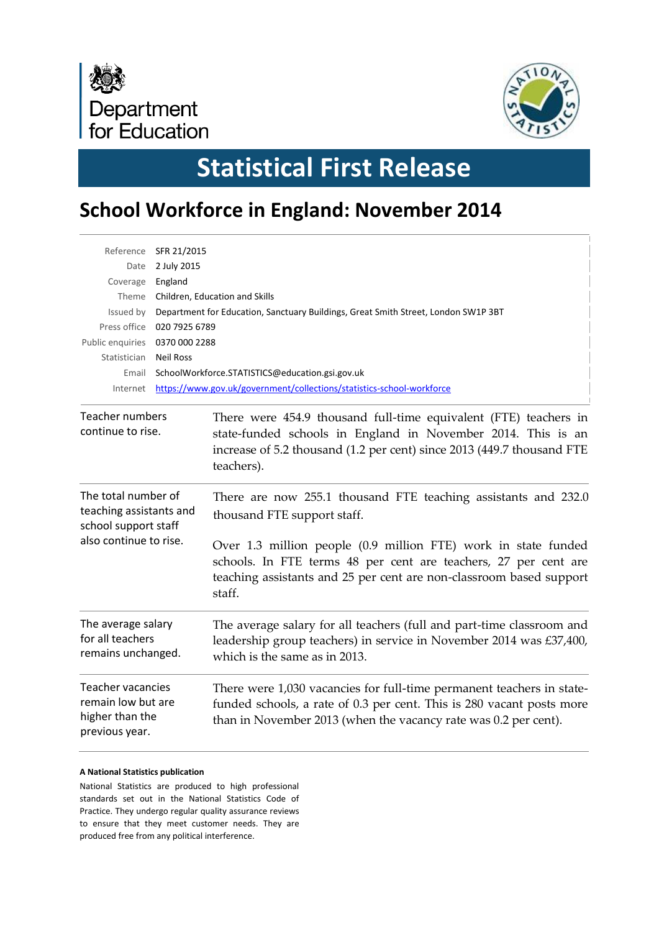



# **Statistical First Release**

# **School Workforce in England: November 2014**

| Date<br>Coverage<br>Issued by                                                                    | Reference SFR 21/2015<br>2 July 2015<br>England<br>Theme Children, Education and Skills<br>Department for Education, Sanctuary Buildings, Great Smith Street, London SW1P 3BT<br>Press office 020 7925 6789 |                                                                                                                                                                                                                          |  |  |  |  |  |  |  |  |
|--------------------------------------------------------------------------------------------------|-------------------------------------------------------------------------------------------------------------------------------------------------------------------------------------------------------------|--------------------------------------------------------------------------------------------------------------------------------------------------------------------------------------------------------------------------|--|--|--|--|--|--|--|--|
| Statistician                                                                                     | <b>Neil Ross</b>                                                                                                                                                                                            | Public enquiries 0370 000 2288                                                                                                                                                                                           |  |  |  |  |  |  |  |  |
| Email                                                                                            |                                                                                                                                                                                                             | SchoolWorkforce.STATISTICS@education.gsi.gov.uk                                                                                                                                                                          |  |  |  |  |  |  |  |  |
| Internet                                                                                         |                                                                                                                                                                                                             | https://www.gov.uk/government/collections/statistics-school-workforce                                                                                                                                                    |  |  |  |  |  |  |  |  |
| Teacher numbers<br>continue to rise.                                                             |                                                                                                                                                                                                             | There were 454.9 thousand full-time equivalent (FTE) teachers in<br>state-funded schools in England in November 2014. This is an<br>increase of 5.2 thousand (1.2 per cent) since 2013 (449.7 thousand FTE<br>teachers). |  |  |  |  |  |  |  |  |
| The total number of<br>teaching assistants and<br>school support staff<br>also continue to rise. |                                                                                                                                                                                                             | There are now 255.1 thousand FTE teaching assistants and 232.0<br>thousand FTE support staff.                                                                                                                            |  |  |  |  |  |  |  |  |
|                                                                                                  |                                                                                                                                                                                                             | Over 1.3 million people (0.9 million FTE) work in state funded<br>schools. In FTE terms 48 per cent are teachers, 27 per cent are<br>teaching assistants and 25 per cent are non-classroom based support<br>staff.       |  |  |  |  |  |  |  |  |
| The average salary<br>for all teachers<br>remains unchanged.                                     |                                                                                                                                                                                                             | The average salary for all teachers (full and part-time classroom and<br>leadership group teachers) in service in November 2014 was £37,400,<br>which is the same as in 2013.                                            |  |  |  |  |  |  |  |  |
| <b>Teacher vacancies</b><br>remain low but are<br>higher than the<br>previous year.              |                                                                                                                                                                                                             | There were 1,030 vacancies for full-time permanent teachers in state-<br>funded schools, a rate of 0.3 per cent. This is 280 vacant posts more<br>than in November 2013 (when the vacancy rate was 0.2 per cent).        |  |  |  |  |  |  |  |  |

#### **A National Statistics publication**

National Statistics are produced to high professional standards set out in the National Statistics Code of Practice. They undergo regular quality assurance reviews to ensure that they meet customer needs. They are produced free from any political interference.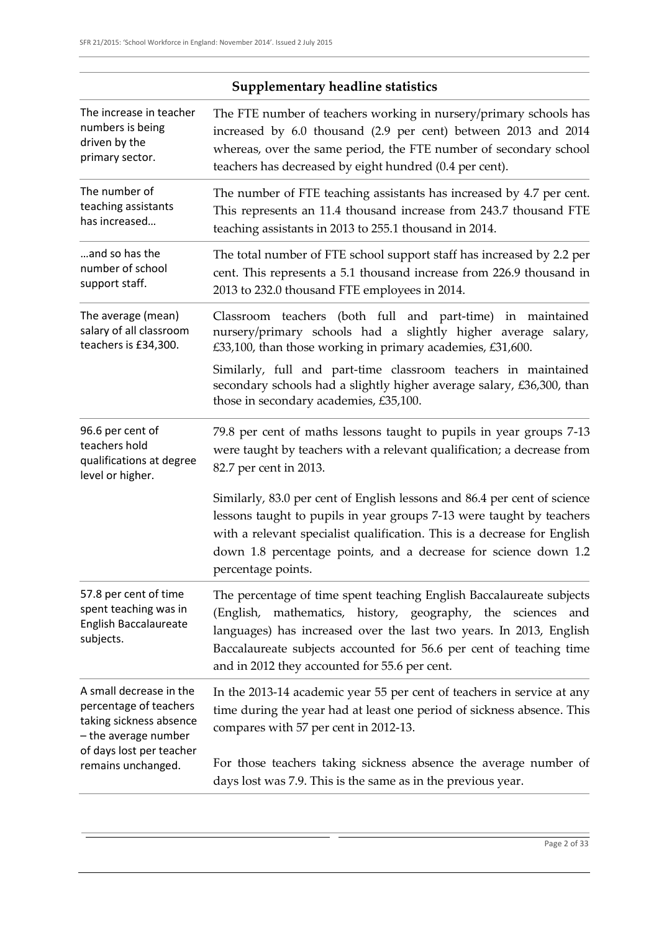| The increase in teacher<br>numbers is being<br>driven by the<br>primary sector.                      | The FTE number of teachers working in nursery/primary schools has<br>increased by 6.0 thousand (2.9 per cent) between 2013 and 2014<br>whereas, over the same period, the FTE number of secondary school<br>teachers has decreased by eight hundred (0.4 per cent).                                                                  |  |  |  |  |  |  |
|------------------------------------------------------------------------------------------------------|--------------------------------------------------------------------------------------------------------------------------------------------------------------------------------------------------------------------------------------------------------------------------------------------------------------------------------------|--|--|--|--|--|--|
| The number of<br>teaching assistants<br>has increased                                                | The number of FTE teaching assistants has increased by 4.7 per cent.<br>This represents an 11.4 thousand increase from 243.7 thousand FTE<br>teaching assistants in 2013 to 255.1 thousand in 2014.                                                                                                                                  |  |  |  |  |  |  |
| and so has the<br>number of school<br>support staff.                                                 | The total number of FTE school support staff has increased by 2.2 per<br>cent. This represents a 5.1 thousand increase from 226.9 thousand in<br>2013 to 232.0 thousand FTE employees in 2014.                                                                                                                                       |  |  |  |  |  |  |
| The average (mean)<br>salary of all classroom<br>teachers is £34,300.                                | Classroom teachers (both full and part-time) in maintained<br>nursery/primary schools had a slightly higher average salary,<br>£33,100, than those working in primary academies, £31,600.                                                                                                                                            |  |  |  |  |  |  |
|                                                                                                      | Similarly, full and part-time classroom teachers in maintained<br>secondary schools had a slightly higher average salary, £36,300, than<br>those in secondary academies, £35,100.                                                                                                                                                    |  |  |  |  |  |  |
| 96.6 per cent of<br>teachers hold<br>qualifications at degree<br>level or higher.                    | 79.8 per cent of maths lessons taught to pupils in year groups 7-13<br>were taught by teachers with a relevant qualification; a decrease from<br>82.7 per cent in 2013.                                                                                                                                                              |  |  |  |  |  |  |
|                                                                                                      | Similarly, 83.0 per cent of English lessons and 86.4 per cent of science<br>lessons taught to pupils in year groups 7-13 were taught by teachers<br>with a relevant specialist qualification. This is a decrease for English<br>down 1.8 percentage points, and a decrease for science down 1.2<br>percentage points.                |  |  |  |  |  |  |
| 57.8 per cent of time<br>spent teaching was in<br>English Baccalaureate<br>subjects.                 | The percentage of time spent teaching English Baccalaureate subjects<br>(English, mathematics, history, geography, the sciences<br>and<br>languages) has increased over the last two years. In 2013, English<br>Baccalaureate subjects accounted for 56.6 per cent of teaching time<br>and in 2012 they accounted for 55.6 per cent. |  |  |  |  |  |  |
| A small decrease in the<br>percentage of teachers<br>taking sickness absence<br>- the average number | In the 2013-14 academic year 55 per cent of teachers in service at any<br>time during the year had at least one period of sickness absence. This<br>compares with 57 per cent in 2012-13.                                                                                                                                            |  |  |  |  |  |  |
| of days lost per teacher<br>remains unchanged.                                                       | For those teachers taking sickness absence the average number of<br>days lost was 7.9. This is the same as in the previous year.                                                                                                                                                                                                     |  |  |  |  |  |  |
|                                                                                                      |                                                                                                                                                                                                                                                                                                                                      |  |  |  |  |  |  |

### **Supplementary headline statistics**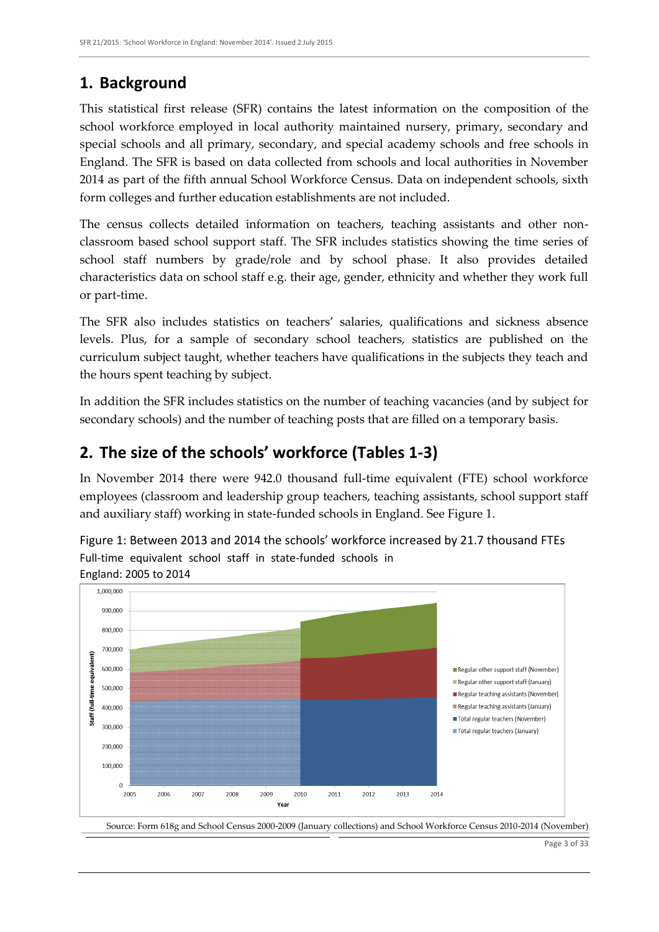### **1. Background**

This statistical first release (SFR) contains the latest information on the composition of the school workforce employed in local authority maintained nursery, primary, secondary and special schools and all primary, secondary, and special academy schools and free schools in England. The SFR is based on data collected from schools and local authorities in November 2014 as part of the fifth annual School Workforce Census. Data on independent schools, sixth form colleges and further education establishments are not included.

The census collects detailed information on teachers, teaching assistants and other nonclassroom based school support staff. The SFR includes statistics showing the time series of school staff numbers by grade/role and by school phase. It also provides detailed characteristics data on school staff e.g. their age, gender, ethnicity and whether they work full or part-time.

The SFR also includes statistics on teachers' salaries, qualifications and sickness absence levels. Plus, for a sample of secondary school teachers, statistics are published on the curriculum subject taught, whether teachers have qualifications in the subjects they teach and the hours spent teaching by subject.

In addition the SFR includes statistics on the number of teaching vacancies (and by subject for secondary schools) and the number of teaching posts that are filled on a temporary basis.

### **2. The size of the schools' workforce (Tables 1-3)**

In November 2014 there were 942.0 thousand full-time equivalent (FTE) school workforce employees (classroom and leadership group teachers, teaching assistants, school support staff and auxiliary staff) working in state-funded schools in England. See Figure 1.

Figure 1: Between 2013 and 2014 the schools' workforce increased by 21.7 thousand FTEs Full-time equivalent school staff in state-funded schools in England: 2005 to 2014

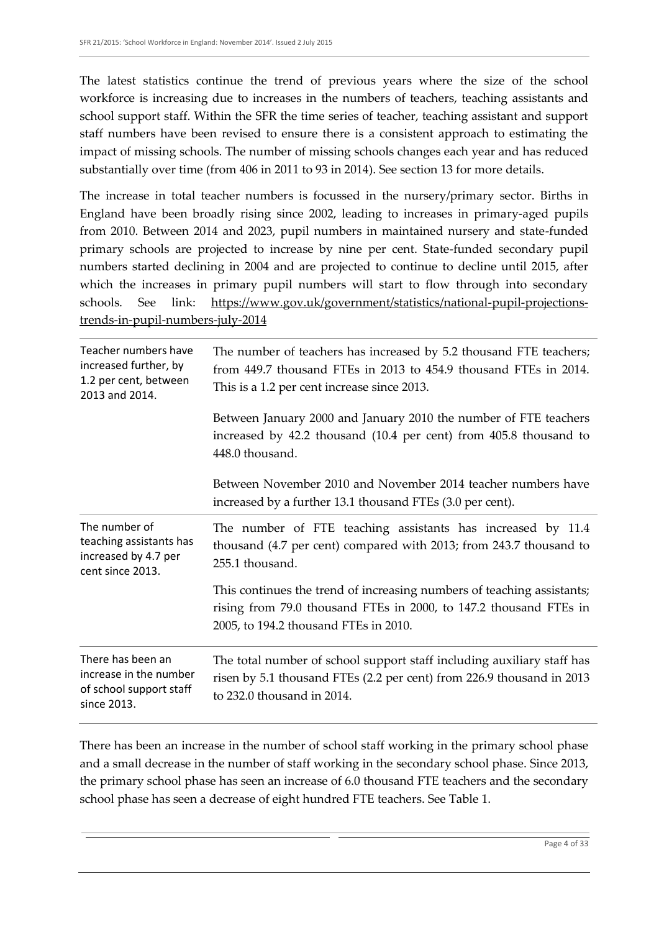The latest statistics continue the trend of previous years where the size of the school workforce is increasing due to increases in the numbers of teachers, teaching assistants and school support staff. Within the SFR the time series of teacher, teaching assistant and support staff numbers have been revised to ensure there is a consistent approach to estimating the impact of missing schools. The number of missing schools changes each year and has reduced substantially over time (from 406 in 2011 to 93 in 2014). See section 13 for more details.

The increase in total teacher numbers is focussed in the nursery/primary sector. Births in England have been broadly rising since 2002, leading to increases in primary-aged pupils from 2010. Between 2014 and 2023, pupil numbers in maintained nursery and state-funded primary schools are projected to increase by nine per cent. State-funded secondary pupil numbers started declining in 2004 and are projected to continue to decline until 2015, after which the increases in primary pupil numbers will start to flow through into secondary schools. See link: [https://www.gov.uk/government/statistics/national-pupil-projections](https://www.gov.uk/government/statistics/national-pupil-projections-trends-in-pupil-numbers-july-2014)[trends-in-pupil-numbers-july-2014](https://www.gov.uk/government/statistics/national-pupil-projections-trends-in-pupil-numbers-july-2014)

| Teacher numbers have<br>increased further, by<br>1.2 per cent, between<br>2013 and 2014. | The number of teachers has increased by 5.2 thousand FTE teachers;<br>from 449.7 thousand FTEs in 2013 to 454.9 thousand FTEs in 2014.<br>This is a 1.2 per cent increase since 2013. |  |  |  |  |  |
|------------------------------------------------------------------------------------------|---------------------------------------------------------------------------------------------------------------------------------------------------------------------------------------|--|--|--|--|--|
|                                                                                          | Between January 2000 and January 2010 the number of FTE teachers<br>increased by 42.2 thousand (10.4 per cent) from 405.8 thousand to<br>448.0 thousand.                              |  |  |  |  |  |
|                                                                                          | Between November 2010 and November 2014 teacher numbers have<br>increased by a further 13.1 thousand FTEs (3.0 per cent).                                                             |  |  |  |  |  |
| The number of<br>teaching assistants has<br>increased by 4.7 per<br>cent since 2013.     | The number of FTE teaching assistants has increased by 11.4<br>thousand (4.7 per cent) compared with 2013; from 243.7 thousand to<br>255.1 thousand.                                  |  |  |  |  |  |
|                                                                                          | This continues the trend of increasing numbers of teaching assistants;<br>rising from 79.0 thousand FTEs in 2000, to 147.2 thousand FTEs in<br>2005, to 194.2 thousand FTEs in 2010.  |  |  |  |  |  |
| There has been an<br>increase in the number<br>of school support staff<br>since 2013.    | The total number of school support staff including auxiliary staff has<br>risen by 5.1 thousand FTEs (2.2 per cent) from 226.9 thousand in 2013<br>to 232.0 thousand in 2014.         |  |  |  |  |  |

There has been an increase in the number of school staff working in the primary school phase and a small decrease in the number of staff working in the secondary school phase. Since 2013, the primary school phase has seen an increase of 6.0 thousand FTE teachers and the secondary school phase has seen a decrease of eight hundred FTE teachers. See Table 1.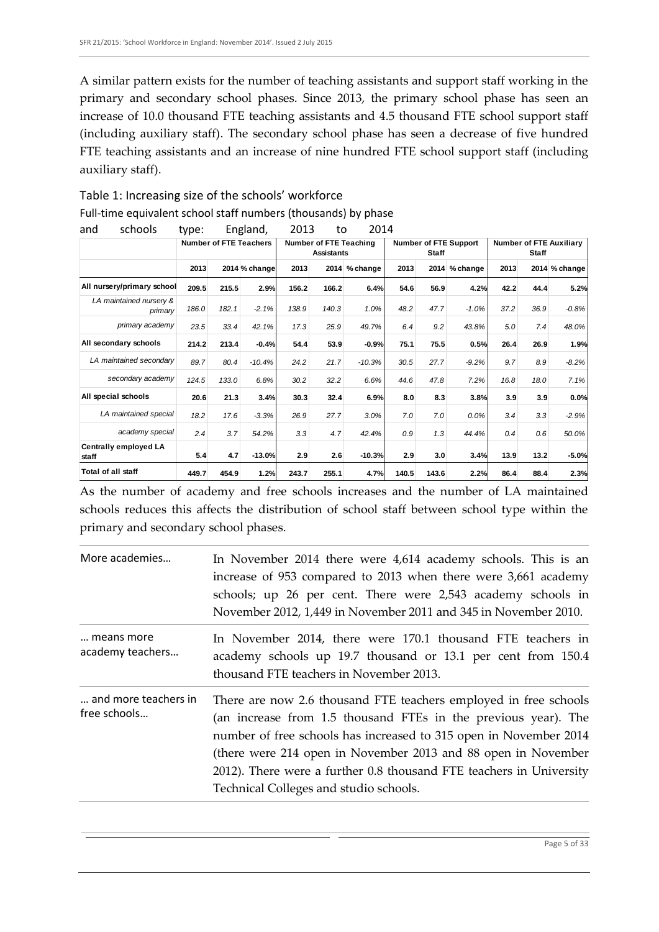A similar pattern exists for the number of teaching assistants and support staff working in the primary and secondary school phases. Since 2013, the primary school phase has seen an increase of 10.0 thousand FTE teaching assistants and 4.5 thousand FTE school support staff (including auxiliary staff). The secondary school phase has seen a decrease of five hundred FTE teaching assistants and an increase of nine hundred FTE school support staff (including auxiliary staff).

| schools<br>and                        | type:                         |       | England,      | 2013                                               | to    | 2014          |                                              |       |          |                                                |      |               |
|---------------------------------------|-------------------------------|-------|---------------|----------------------------------------------------|-------|---------------|----------------------------------------------|-------|----------|------------------------------------------------|------|---------------|
|                                       | <b>Number of FTE Teachers</b> |       |               | <b>Number of FTE Teaching</b><br><b>Assistants</b> |       |               | <b>Number of FTE Support</b><br><b>Staff</b> |       |          | <b>Number of FTE Auxiliary</b><br><b>Staff</b> |      |               |
|                                       | 2013                          |       | 2014 % change | 2013                                               |       | 2014 % change | 2013                                         | 2014  | % change | 2013                                           |      | 2014 % change |
| All nursery/primary school            | 209.5                         | 215.5 | 2.9%          | 156.2                                              | 166.2 | 6.4%          | 54.6                                         | 56.9  | 4.2%     | 42.2                                           | 44.4 | 5.2%          |
| LA maintained nursery &<br>primary    | 186.0                         | 182.1 | $-2.1%$       | 138.9                                              | 140.3 | 1.0%          | 48.2                                         | 47.7  | $-1.0%$  | 37.2                                           | 36.9 | $-0.8%$       |
| primary academy                       | 23.5                          | 33.4  | 42.1%         | 17.3                                               | 25.9  | 49.7%         | 6.4                                          | 9.2   | 43.8%    | 5.0                                            | 7.4  | 48.0%         |
| All secondary schools                 | 214.2                         | 213.4 | $-0.4%$       | 54.4                                               | 53.9  | $-0.9%$       | 75.1                                         | 75.5  | 0.5%     | 26.4                                           | 26.9 | 1.9%          |
| LA maintained secondary               | 89.7                          | 80.4  | $-10.4%$      | 24.2                                               | 21.7  | $-10.3%$      | 30.5                                         | 27.7  | $-9.2%$  | 9.7                                            | 8.9  | $-8.2%$       |
| secondary academy                     | 124.5                         | 133.0 | 6.8%          | 30.2                                               | 32.2  | 6.6%          | 44.6                                         | 47.8  | 7.2%     | 16.8                                           | 18.0 | 7.1%          |
| All special schools                   | 20.6                          | 21.3  | 3.4%          | 30.3                                               | 32.4  | 6.9%          | 8.0                                          | 8.3   | 3.8%     | 3.9                                            | 3.9  | 0.0%          |
| LA maintained special                 | 18.2                          | 17.6  | $-3.3%$       | 26.9                                               | 27.7  | 3.0%          | 7.0                                          | 7.0   | 0.0%     | 3.4                                            | 3.3  | $-2.9%$       |
| academy special                       | 2.4                           | 3.7   | 54.2%         | 3.3                                                | 4.7   | 42.4%         | 0.9                                          | 1.3   | 44.4%    | 0.4                                            | 0.6  | 50.0%         |
| <b>Centrally employed LA</b><br>staff | 5.4                           | 4.7   | $-13.0%$      | 2.9                                                | 2.6   | $-10.3%$      | 2.9                                          | 3.0   | 3.4%     | 13.9                                           | 13.2 | $-5.0%$       |
| <b>Total of all staff</b>             | 449.7                         | 454.9 | 1.2%          | 243.7                                              | 255.1 | 4.7%          | 140.5                                        | 143.6 | 2.2%     | 86.4                                           | 88.4 | 2.3%          |

Table 1: Increasing size of the schools' workforce Full-time equivalent school staff numbers (thousands) by phase

As the number of academy and free schools increases and the number of LA maintained schools reduces this affects the distribution of school staff between school type within the primary and secondary school phases.

| More academies                       | In November 2014 there were 4,614 academy schools. This is an<br>increase of 953 compared to 2013 when there were 3,661 academy<br>schools; up 26 per cent. There were 2,543 academy schools in<br>November 2012, 1,449 in November 2011 and 345 in November 2010.                                                                                                                        |
|--------------------------------------|-------------------------------------------------------------------------------------------------------------------------------------------------------------------------------------------------------------------------------------------------------------------------------------------------------------------------------------------------------------------------------------------|
| means more<br>academy teachers       | In November 2014, there were 170.1 thousand FTE teachers in<br>academy schools up 19.7 thousand or 13.1 per cent from 150.4<br>thousand FTE teachers in November 2013.                                                                                                                                                                                                                    |
| and more teachers in<br>free schools | There are now 2.6 thousand FTE teachers employed in free schools<br>(an increase from 1.5 thousand FTEs in the previous year). The<br>number of free schools has increased to 315 open in November 2014<br>(there were 214 open in November 2013 and 88 open in November<br>2012). There were a further 0.8 thousand FTE teachers in University<br>Technical Colleges and studio schools. |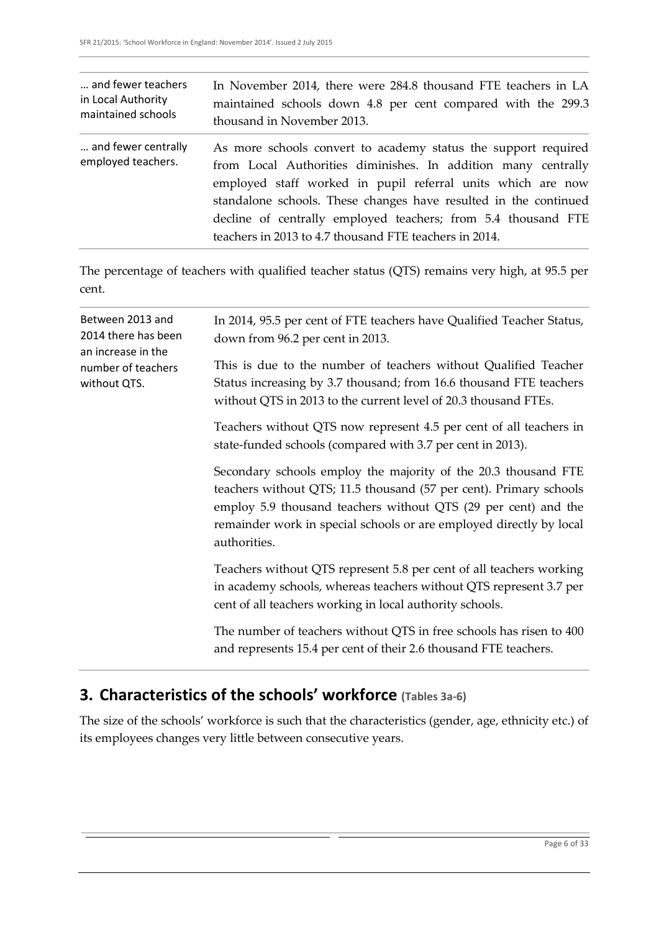| and fewer teachers                        | In November 2014, there were 284.8 thousand FTE teachers in LA                                                                                                                                                                                                                                                                                                                                |
|-------------------------------------------|-----------------------------------------------------------------------------------------------------------------------------------------------------------------------------------------------------------------------------------------------------------------------------------------------------------------------------------------------------------------------------------------------|
| in Local Authority                        | maintained schools down 4.8 per cent compared with the 299.3                                                                                                                                                                                                                                                                                                                                  |
| maintained schools                        | thousand in November 2013.                                                                                                                                                                                                                                                                                                                                                                    |
| and fewer centrally<br>employed teachers. | As more schools convert to academy status the support required<br>from Local Authorities diminishes. In addition many centrally<br>employed staff worked in pupil referral units which are now<br>standalone schools. These changes have resulted in the continued<br>decline of centrally employed teachers; from 5.4 thousand FTE<br>teachers in 2013 to 4.7 thousand FTE teachers in 2014. |

The percentage of teachers with qualified teacher status (QTS) remains very high, at 95.5 per cent.

| Between 2013 and<br>2014 there has been<br>an increase in the<br>number of teachers<br>without QTS. | In 2014, 95.5 per cent of FTE teachers have Qualified Teacher Status,<br>down from 96.2 per cent in 2013.                                                                                                                                                                                     |  |  |  |  |
|-----------------------------------------------------------------------------------------------------|-----------------------------------------------------------------------------------------------------------------------------------------------------------------------------------------------------------------------------------------------------------------------------------------------|--|--|--|--|
|                                                                                                     | This is due to the number of teachers without Qualified Teacher<br>Status increasing by 3.7 thousand; from 16.6 thousand FTE teachers<br>without QTS in 2013 to the current level of 20.3 thousand FTEs.                                                                                      |  |  |  |  |
|                                                                                                     | Teachers without QTS now represent 4.5 per cent of all teachers in<br>state-funded schools (compared with 3.7 per cent in 2013).                                                                                                                                                              |  |  |  |  |
|                                                                                                     | Secondary schools employ the majority of the 20.3 thousand FTE<br>teachers without QTS; 11.5 thousand (57 per cent). Primary schools<br>employ 5.9 thousand teachers without QTS (29 per cent) and the<br>remainder work in special schools or are employed directly by local<br>authorities. |  |  |  |  |
|                                                                                                     | Teachers without QTS represent 5.8 per cent of all teachers working<br>in academy schools, whereas teachers without QTS represent 3.7 per<br>cent of all teachers working in local authority schools.                                                                                         |  |  |  |  |
|                                                                                                     | The number of teachers without QTS in free schools has risen to 400<br>and represents 15.4 per cent of their 2.6 thousand FTE teachers.                                                                                                                                                       |  |  |  |  |

# **3. Characteristics of the schools' workforce (Tables 3a-6)**

The size of the schools' workforce is such that the characteristics (gender, age, ethnicity etc.) of its employees changes very little between consecutive years.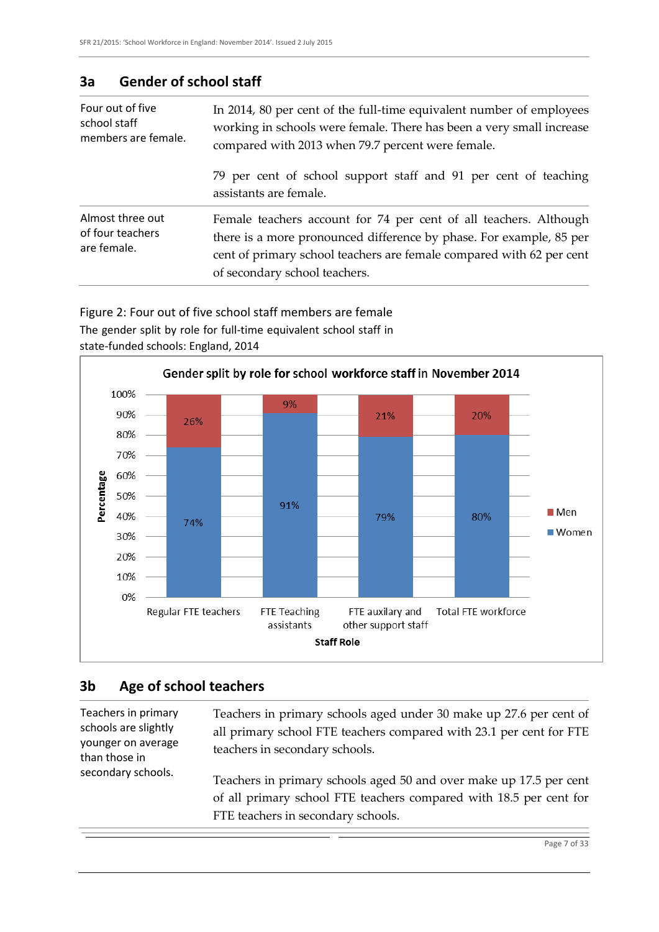#### **3a Gender of school staff**

| Four out of five<br>school staff<br>members are female. | In 2014, 80 per cent of the full-time equivalent number of employees<br>working in schools were female. There has been a very small increase<br>compared with 2013 when 79.7 percent were female.                                                 |
|---------------------------------------------------------|---------------------------------------------------------------------------------------------------------------------------------------------------------------------------------------------------------------------------------------------------|
|                                                         | 79 per cent of school support staff and 91 per cent of teaching<br>assistants are female.                                                                                                                                                         |
| Almost three out<br>of four teachers<br>are female.     | Female teachers account for 74 per cent of all teachers. Although<br>there is a more pronounced difference by phase. For example, 85 per<br>cent of primary school teachers are female compared with 62 per cent<br>of secondary school teachers. |

Figure 2: Four out of five school staff members are female The gender split by role for full-time equivalent school staff in state-funded schools: England, 2014



### **3b Age of school teachers**

Teachers in primary schools are slightly younger on average than those in secondary schools.

Teachers in primary schools aged under 30 make up 27.6 per cent of all primary school FTE teachers compared with 23.1 per cent for FTE teachers in secondary schools.

Teachers in primary schools aged 50 and over make up 17.5 per cent of all primary school FTE teachers compared with 18.5 per cent for FTE teachers in secondary schools.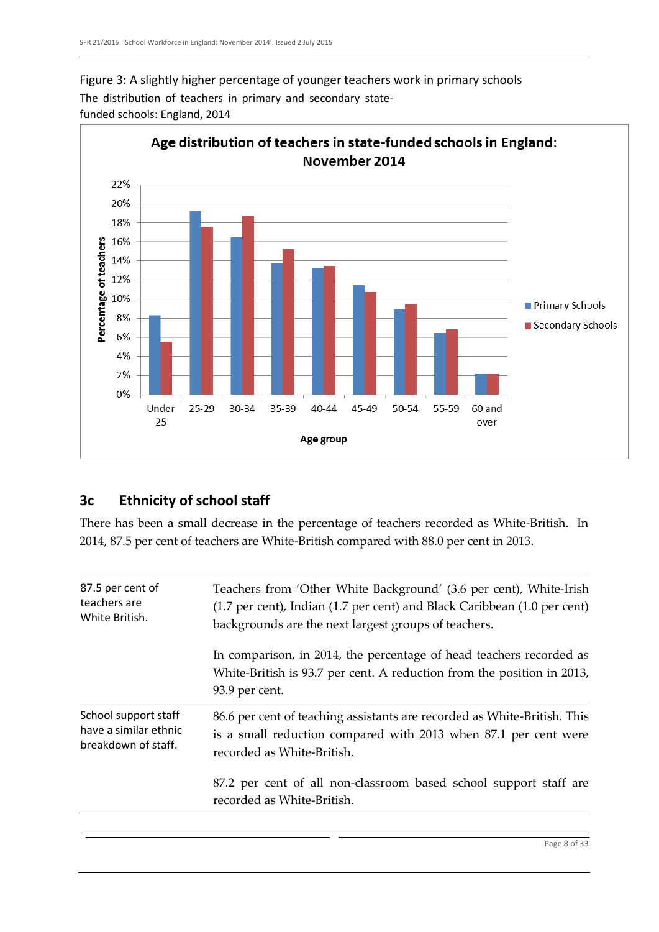



#### **3c Ethnicity of school staff**

There has been a small decrease in the percentage of teachers recorded as White-British. In 2014, 87.5 per cent of teachers are White-British compared with 88.0 per cent in 2013.

| 87.5 per cent of      | Teachers from 'Other White Background' (3.6 per cent), White-Irish                                                                                              |  |  |  |  |  |
|-----------------------|-----------------------------------------------------------------------------------------------------------------------------------------------------------------|--|--|--|--|--|
| teachers are          | (1.7 per cent), Indian (1.7 per cent) and Black Caribbean (1.0 per cent)                                                                                        |  |  |  |  |  |
| White British.        | backgrounds are the next largest groups of teachers.                                                                                                            |  |  |  |  |  |
|                       | In comparison, in 2014, the percentage of head teachers recorded as<br>White-British is 93.7 per cent. A reduction from the position in 2013,<br>93.9 per cent. |  |  |  |  |  |
| School support staff  | 86.6 per cent of teaching assistants are recorded as White-British. This                                                                                        |  |  |  |  |  |
| have a similar ethnic | is a small reduction compared with 2013 when 87.1 per cent were                                                                                                 |  |  |  |  |  |
| breakdown of staff.   | recorded as White-British.                                                                                                                                      |  |  |  |  |  |
|                       | 87.2 per cent of all non-classroom based school support staff are<br>recorded as White-British.                                                                 |  |  |  |  |  |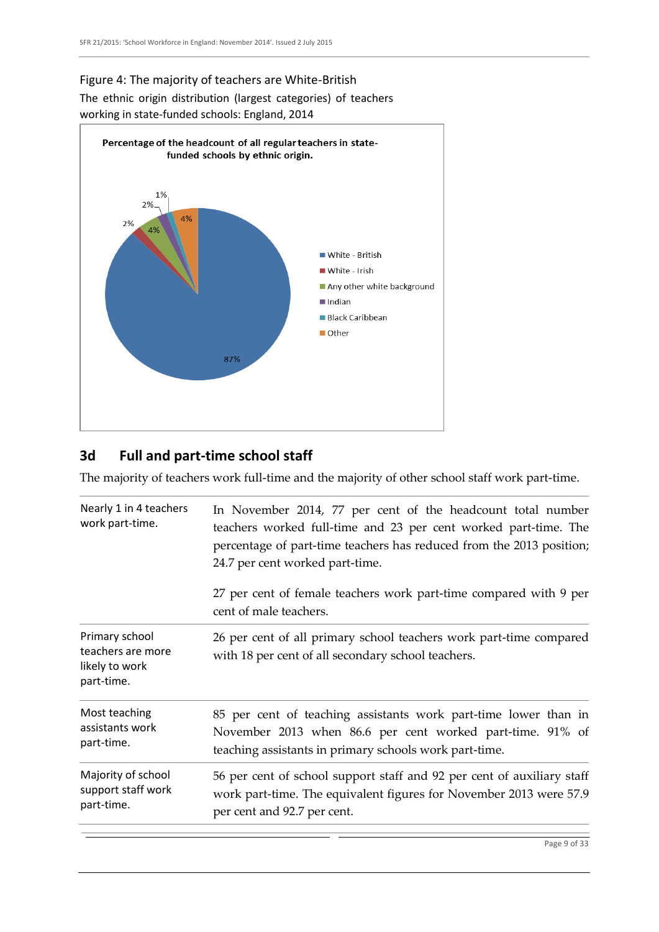



### **3d Full and part-time school staff**

The majority of teachers work full-time and the majority of other school staff work part-time.

| Nearly 1 in 4 teachers<br>work part-time.                           | In November 2014, 77 per cent of the headcount total number<br>teachers worked full-time and 23 per cent worked part-time. The<br>percentage of part-time teachers has reduced from the 2013 position;<br>24.7 per cent worked part-time. |  |  |  |  |  |
|---------------------------------------------------------------------|-------------------------------------------------------------------------------------------------------------------------------------------------------------------------------------------------------------------------------------------|--|--|--|--|--|
|                                                                     | 27 per cent of female teachers work part-time compared with 9 per<br>cent of male teachers.                                                                                                                                               |  |  |  |  |  |
| Primary school<br>teachers are more<br>likely to work<br>part-time. | 26 per cent of all primary school teachers work part-time compared<br>with 18 per cent of all secondary school teachers.                                                                                                                  |  |  |  |  |  |
| Most teaching<br>assistants work<br>part-time.                      | 85 per cent of teaching assistants work part-time lower than in<br>November 2013 when 86.6 per cent worked part-time. 91% of<br>teaching assistants in primary schools work part-time.                                                    |  |  |  |  |  |
| Majority of school<br>support staff work<br>part-time.              | 56 per cent of school support staff and 92 per cent of auxiliary staff<br>work part-time. The equivalent figures for November 2013 were 57.9<br>per cent and 92.7 per cent.                                                               |  |  |  |  |  |
|                                                                     |                                                                                                                                                                                                                                           |  |  |  |  |  |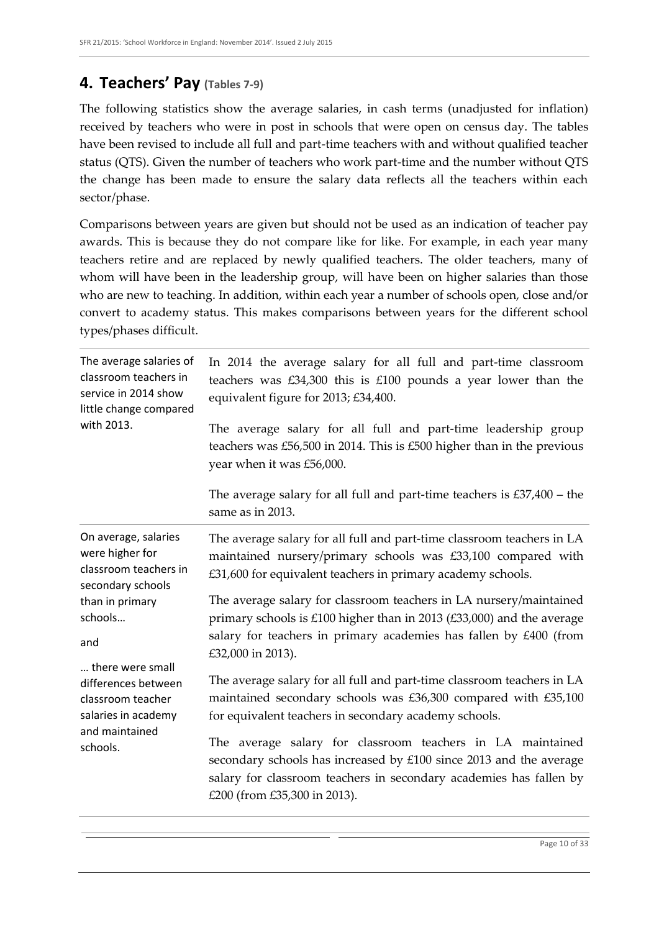### **4. Teachers' Pay (Tables 7-9)**

The following statistics show the average salaries, in cash terms (unadjusted for inflation) received by teachers who were in post in schools that were open on census day. The tables have been revised to include all full and part-time teachers with and without qualified teacher status (QTS). Given the number of teachers who work part-time and the number without QTS the change has been made to ensure the salary data reflects all the teachers within each sector/phase.

Comparisons between years are given but should not be used as an indication of teacher pay awards. This is because they do not compare like for like. For example, in each year many teachers retire and are replaced by newly qualified teachers. The older teachers, many of whom will have been in the leadership group, will have been on higher salaries than those who are new to teaching. In addition, within each year a number of schools open, close and/or convert to academy status. This makes comparisons between years for the different school types/phases difficult.

| The average salaries of<br>classroom teachers in<br>service in 2014 show<br>little change compared<br>with 2013.  | In 2014 the average salary for all full and part-time classroom<br>teachers was $£34,300$ this is $£100$ pounds a year lower than the<br>equivalent figure for 2013; £34,400.                                                          |  |  |  |  |  |  |
|-------------------------------------------------------------------------------------------------------------------|----------------------------------------------------------------------------------------------------------------------------------------------------------------------------------------------------------------------------------------|--|--|--|--|--|--|
|                                                                                                                   | The average salary for all full and part-time leadership group<br>teachers was $£56,500$ in 2014. This is $£500$ higher than in the previous<br>year when it was £56,000.                                                              |  |  |  |  |  |  |
|                                                                                                                   | The average salary for all full and part-time teachers is $£37,400 -$ the<br>same as in 2013.                                                                                                                                          |  |  |  |  |  |  |
| On average, salaries<br>were higher for<br>classroom teachers in<br>secondary schools                             | The average salary for all full and part-time classroom teachers in LA<br>maintained nursery/primary schools was £33,100 compared with<br>£31,600 for equivalent teachers in primary academy schools.                                  |  |  |  |  |  |  |
| than in primary<br>schools<br>and                                                                                 | The average salary for classroom teachers in LA nursery/maintained<br>primary schools is £100 higher than in 2013 (£33,000) and the average<br>salary for teachers in primary academies has fallen by £400 (from<br>£32,000 in 2013).  |  |  |  |  |  |  |
| there were small<br>differences between<br>classroom teacher<br>salaries in academy<br>and maintained<br>schools. | The average salary for all full and part-time classroom teachers in LA<br>maintained secondary schools was £36,300 compared with £35,100<br>for equivalent teachers in secondary academy schools.                                      |  |  |  |  |  |  |
|                                                                                                                   | The average salary for classroom teachers in LA maintained<br>secondary schools has increased by £100 since 2013 and the average<br>salary for classroom teachers in secondary academies has fallen by<br>£200 (from £35,300 in 2013). |  |  |  |  |  |  |
|                                                                                                                   |                                                                                                                                                                                                                                        |  |  |  |  |  |  |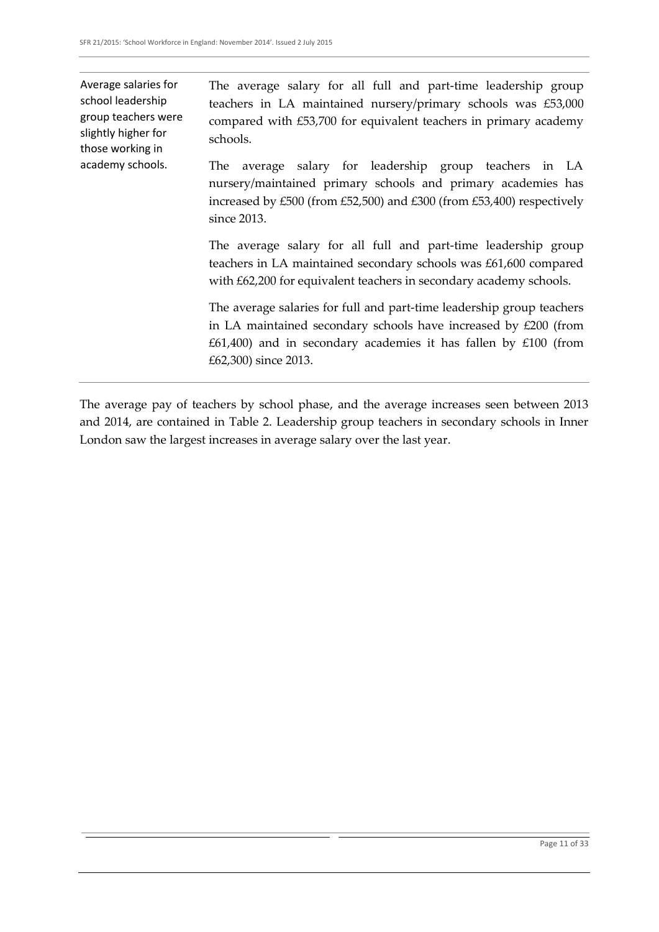Average salaries for school leadership group teachers were slightly higher for those working in academy schools. The average salary for all full and part-time leadership group teachers in LA maintained nursery/primary schools was £53,000 compared with £53,700 for equivalent teachers in primary academy schools. The average salary for leadership group teachers in LA nursery/maintained primary schools and primary academies has increased by £500 (from £52,500) and £300 (from £53,400) respectively since 2013. The average salary for all full and part-time leadership group teachers in LA maintained secondary schools was £61,600 compared with £62,200 for equivalent teachers in secondary academy schools. The average salaries for full and part-time leadership group teachers in LA maintained secondary schools have increased by £200 (from  $£61,400)$  and in secondary academies it has fallen by  $£100$  (from £62,300) since 2013.

The average pay of teachers by school phase, and the average increases seen between 2013 and 2014, are contained in Table 2. Leadership group teachers in secondary schools in Inner London saw the largest increases in average salary over the last year.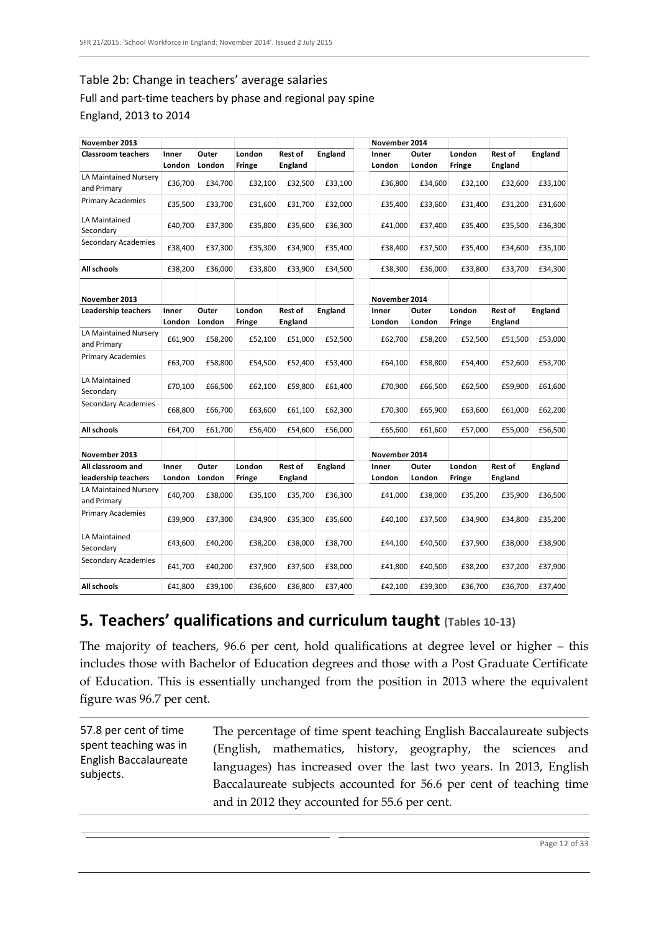### Table 2b: Change in teachers' average salaries Full and part-time teachers by phase and regional pay spine

#### England, 2013 to 2014

| November 2013                        |                 |                 |                  |                           |                | November 2014   |                 |                  |                           |                |
|--------------------------------------|-----------------|-----------------|------------------|---------------------------|----------------|-----------------|-----------------|------------------|---------------------------|----------------|
| <b>Classroom teachers</b>            | Inner<br>London | Outer<br>London | London<br>Fringe | Rest of<br><b>England</b> | England        | Inner<br>London | Outer<br>London | London<br>Fringe | Rest of<br><b>England</b> | <b>England</b> |
| LA Maintained Nursery<br>and Primary | £36,700         | £34,700         | £32,100          | £32,500                   | £33,100        | £36,800         | £34,600         | £32,100          | £32,600                   | £33,100        |
| Primary Academies                    | £35,500         | £33,700         | £31,600          | £31,700                   | £32,000        | £35,400         | £33,600         | £31,400          | £31,200                   | £31,600        |
| LA Maintained<br>Secondary           | £40,700         | £37,300         | £35,800          | £35,600                   | £36,300        | £41,000         | £37,400         | £35,400          | £35,500                   | £36,300        |
| Secondary Academies                  | £38,400         | £37,300         | £35,300          | £34,900                   | £35,400        | £38,400         | £37,500         | £35,400          | £34,600                   | £35,100        |
| All schools                          | £38,200         | £36,000         | £33,800          | £33,900                   | £34,500        | £38,300         | £36,000         | £33,800          | £33,700                   | £34,300        |
| November 2013                        |                 |                 |                  |                           |                | November 2014   |                 |                  |                           |                |
| Leadership teachers                  | Inner<br>London | Outer<br>London | London<br>Fringe | Rest of<br>England        | <b>England</b> | Inner<br>London | Outer<br>London | London<br>Fringe | <b>Rest of</b><br>England | England        |
| LA Maintained Nursery<br>and Primary | £61,900         | £58,200         | £52,100          | £51,000                   | £52,500        | £62,700         | £58,200         | £52,500          | £51,500                   | £53,000        |
| Primary Academies                    | £63,700         | £58,800         | £54,500          | £52,400                   | £53,400        | £64,100         | £58,800         | £54,400          | £52,600                   | £53,700        |
| LA Maintained<br>Secondary           | £70,100         | £66,500         | £62,100          | £59,800                   | £61,400        | £70,900         | £66,500         | £62,500          | £59,900                   | £61,600        |
| Secondary Academies                  | £68,800         | £66,700         | £63,600          | £61,100                   | £62,300        | £70,300         | £65,900         | £63,600          | £61,000                   | £62,200        |
| All schools                          | £64,700         | £61,700         | £56,400          | £54,600                   | £56,000        | £65,600         | £61,600         | £57,000          | £55,000                   | £56,500        |
| November 2013                        |                 |                 |                  |                           |                | November 2014   |                 |                  |                           |                |
| All classroom and                    | Inner           | Outer           | London           | Rest of                   | England        | Inner           | Outer           | London           | <b>Rest of</b>            | <b>England</b> |
| leadership teachers                  | London          | London          | Fringe           | England                   |                | London          | London          | Fringe           | England                   |                |
| LA Maintained Nursery<br>and Primary | £40,700         | £38,000         | £35,100          | £35,700                   | £36,300        | £41,000         | £38,000         | £35,200          | £35,900                   | £36,500        |
| Primary Academies                    | £39,900         | £37,300         | £34,900          | £35,300                   | £35,600        | £40,100         | £37,500         | £34,900          | £34,800                   | £35,200        |
| LA Maintained<br>Secondary           | £43,600         | £40,200         | £38,200          | £38,000                   | £38,700        | £44,100         | £40,500         | £37,900          | £38,000                   | £38,900        |
| <b>Secondary Academies</b>           | £41,700         | £40,200         | £37,900          | £37,500                   | £38,000        | £41,800         | £40,500         | £38,200          | £37,200                   | £37,900        |
| All schools                          | £41,800         | £39,100         | £36,600          | £36,800                   | £37,400        | £42,100         | £39,300         | £36,700          | £36,700                   | £37,400        |

### **5. Teachers' qualifications and curriculum taught (Tables 10-13)**

The majority of teachers, 96.6 per cent, hold qualifications at degree level or higher – this includes those with Bachelor of Education degrees and those with a Post Graduate Certificate of Education. This is essentially unchanged from the position in 2013 where the equivalent figure was 96.7 per cent.

57.8 per cent of time spent teaching was in English Baccalaureate subjects. The percentage of time spent teaching English Baccalaureate subjects (English, mathematics, history, geography, the sciences and languages) has increased over the last two years. In 2013, English Baccalaureate subjects accounted for 56.6 per cent of teaching time and in 2012 they accounted for 55.6 per cent.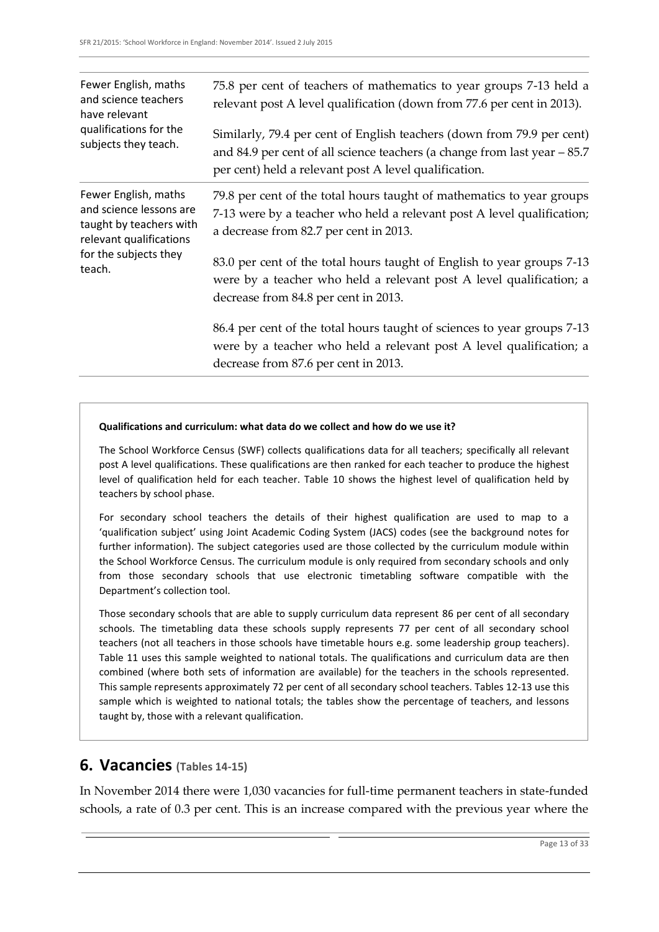| Fewer English, maths<br>and science teachers<br>have relevant<br>qualifications for the<br>subjects they teach.                          | 75.8 per cent of teachers of mathematics to year groups 7-13 held a<br>relevant post A level qualification (down from 77.6 per cent in 2013).                                                                 |
|------------------------------------------------------------------------------------------------------------------------------------------|---------------------------------------------------------------------------------------------------------------------------------------------------------------------------------------------------------------|
|                                                                                                                                          | Similarly, 79.4 per cent of English teachers (down from 79.9 per cent)<br>and 84.9 per cent of all science teachers (a change from last year $-85.7$<br>per cent) held a relevant post A level qualification. |
| Fewer English, maths<br>and science lessons are<br>taught by teachers with<br>relevant qualifications<br>for the subjects they<br>teach. | 79.8 per cent of the total hours taught of mathematics to year groups<br>7-13 were by a teacher who held a relevant post A level qualification;<br>a decrease from 82.7 per cent in 2013.                     |
|                                                                                                                                          | 83.0 per cent of the total hours taught of English to year groups 7-13<br>were by a teacher who held a relevant post A level qualification; a<br>decrease from 84.8 per cent in 2013.                         |
|                                                                                                                                          | 86.4 per cent of the total hours taught of sciences to year groups 7-13<br>were by a teacher who held a relevant post A level qualification; a<br>decrease from 87.6 per cent in 2013.                        |

#### **Qualifications and curriculum: what data do we collect and how do we use it?**

The School Workforce Census (SWF) collects qualifications data for all teachers; specifically all relevant post A level qualifications. These qualifications are then ranked for each teacher to produce the highest level of qualification held for each teacher. Table 10 shows the highest level of qualification held by teachers by school phase.

For secondary school teachers the details of their highest qualification are used to map to a 'qualification subject' using Joint Academic Coding System (JACS) codes (see the background notes for further information). The subject categories used are those collected by the curriculum module within the School Workforce Census. The curriculum module is only required from secondary schools and only from those secondary schools that use electronic timetabling software compatible with the Department's collection tool.

Those secondary schools that are able to supply curriculum data represent 86 per cent of all secondary schools. The timetabling data these schools supply represents 77 per cent of all secondary school teachers (not all teachers in those schools have timetable hours e.g. some leadership group teachers). Table 11 uses this sample weighted to national totals. The qualifications and curriculum data are then combined (where both sets of information are available) for the teachers in the schools represented. This sample represents approximately 72 per cent of all secondary school teachers. Tables 12-13 use this sample which is weighted to national totals; the tables show the percentage of teachers, and lessons taught by, those with a relevant qualification.

#### **6. Vacancies (Tables 14-15)**

In November 2014 there were 1,030 vacancies for full-time permanent teachers in state-funded schools, a rate of 0.3 per cent. This is an increase compared with the previous year where the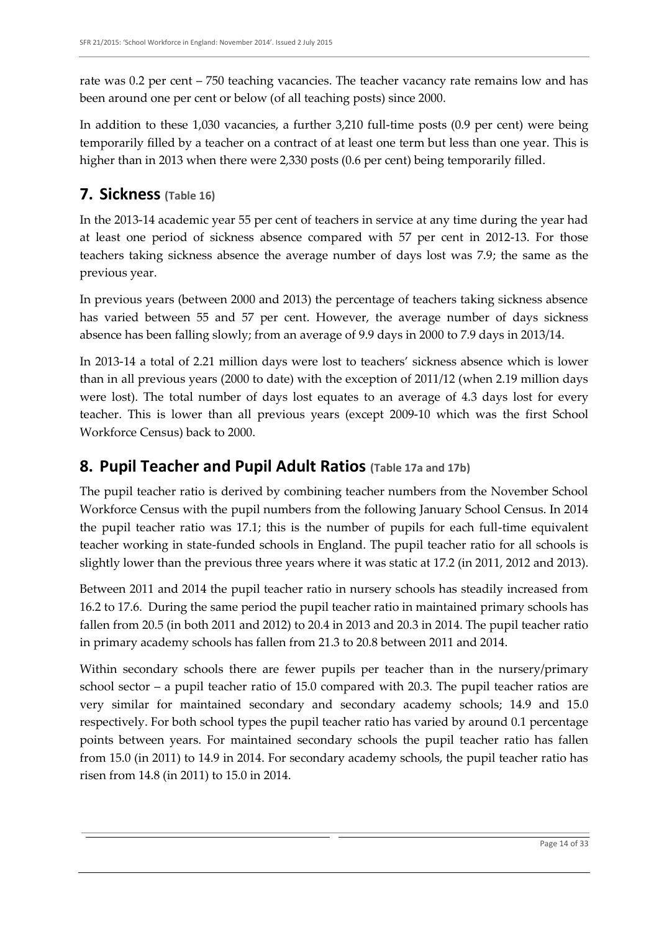rate was 0.2 per cent – 750 teaching vacancies. The teacher vacancy rate remains low and has been around one per cent or below (of all teaching posts) since 2000.

In addition to these 1,030 vacancies, a further 3,210 full-time posts (0.9 per cent) were being temporarily filled by a teacher on a contract of at least one term but less than one year. This is higher than in 2013 when there were 2,330 posts (0.6 per cent) being temporarily filled.

### **7. Sickness (Table 16)**

In the 2013-14 academic year 55 per cent of teachers in service at any time during the year had at least one period of sickness absence compared with 57 per cent in 2012-13. For those teachers taking sickness absence the average number of days lost was 7.9; the same as the previous year.

In previous years (between 2000 and 2013) the percentage of teachers taking sickness absence has varied between 55 and 57 per cent. However, the average number of days sickness absence has been falling slowly; from an average of 9.9 days in 2000 to 7.9 days in 2013/14.

In 2013-14 a total of 2.21 million days were lost to teachers' sickness absence which is lower than in all previous years (2000 to date) with the exception of 2011/12 (when 2.19 million days were lost). The total number of days lost equates to an average of 4.3 days lost for every teacher. This is lower than all previous years (except 2009-10 which was the first School Workforce Census) back to 2000.

### **8. Pupil Teacher and Pupil Adult Ratios (Table 17a and 17b)**

The pupil teacher ratio is derived by combining teacher numbers from the November School Workforce Census with the pupil numbers from the following January School Census. In 2014 the pupil teacher ratio was 17.1; this is the number of pupils for each full-time equivalent teacher working in state-funded schools in England. The pupil teacher ratio for all schools is slightly lower than the previous three years where it was static at 17.2 (in 2011, 2012 and 2013).

Between 2011 and 2014 the pupil teacher ratio in nursery schools has steadily increased from 16.2 to 17.6. During the same period the pupil teacher ratio in maintained primary schools has fallen from 20.5 (in both 2011 and 2012) to 20.4 in 2013 and 20.3 in 2014. The pupil teacher ratio in primary academy schools has fallen from 21.3 to 20.8 between 2011 and 2014.

Within secondary schools there are fewer pupils per teacher than in the nursery/primary school sector – a pupil teacher ratio of 15.0 compared with 20.3. The pupil teacher ratios are very similar for maintained secondary and secondary academy schools; 14.9 and 15.0 respectively. For both school types the pupil teacher ratio has varied by around 0.1 percentage points between years. For maintained secondary schools the pupil teacher ratio has fallen from 15.0 (in 2011) to 14.9 in 2014. For secondary academy schools, the pupil teacher ratio has risen from 14.8 (in 2011) to 15.0 in 2014.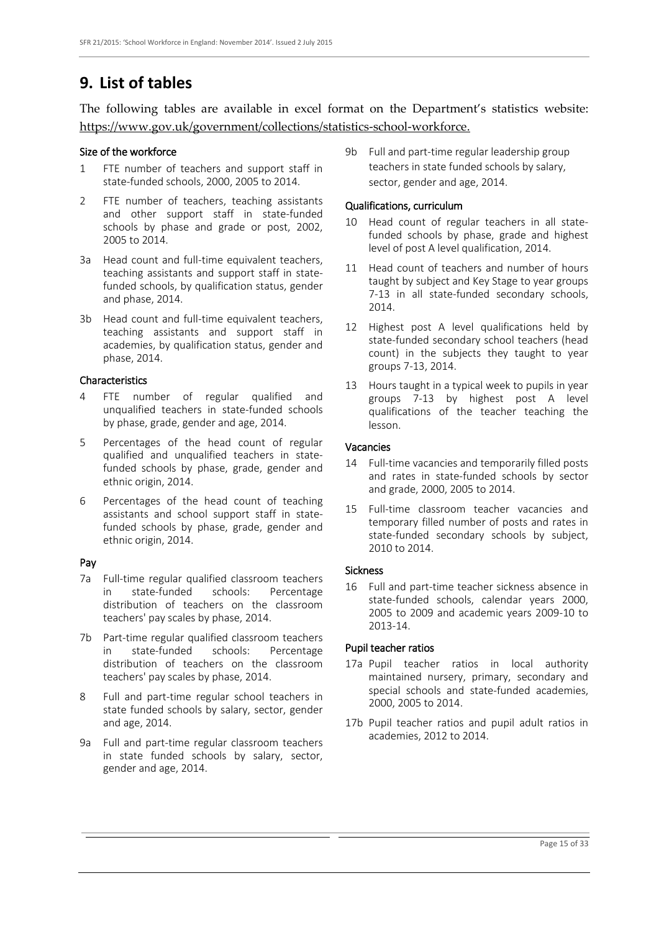### **9. List of tables**

The following tables are available in excel format on the Department's statistics website: [https://www.gov.uk/government/collections/statistics-school-workforce.](https://www.gov.uk/government/collections/statistics-school-workforce)

#### Size of the workforce

- 1 FTE number of teachers and support staff in state-funded schools, 2000, 2005 to 2014.
- 2 FTE number of teachers, teaching assistants and other support staff in state-funded schools by phase and grade or post, 2002, 2005 to 2014.
- 3a Head count and full-time equivalent teachers, teaching assistants and support staff in statefunded schools, by qualification status, gender and phase, 2014.
- 3b Head count and full-time equivalent teachers, teaching assistants and support staff in academies, by qualification status, gender and phase, 2014.

#### Characteristics

- 4 FTE number of regular qualified and unqualified teachers in state-funded schools by phase, grade, gender and age, 2014.
- 5 Percentages of the head count of regular qualified and unqualified teachers in statefunded schools by phase, grade, gender and ethnic origin, 2014.
- 6 Percentages of the head count of teaching assistants and school support staff in statefunded schools by phase, grade, gender and ethnic origin, 2014.

#### Pay

- 7a Full-time regular qualified classroom teachers in state-funded schools: Percentage distribution of teachers on the classroom teachers' pay scales by phase, 2014.
- 7b Part-time regular qualified classroom teachers in state-funded schools: Percentage distribution of teachers on the classroom teachers' pay scales by phase, 2014.
- 8 Full and part-time regular school teachers in state funded schools by salary, sector, gender and age, 2014.
- 9a Full and part-time regular classroom teachers in state funded schools by salary, sector, gender and age, 2014.

9b Full and part-time regular leadership group teachers in state funded schools by salary, sector, gender and age, 2014.

#### Qualifications, curriculum

- 10 Head count of regular teachers in all statefunded schools by phase, grade and highest level of post A level qualification, 2014.
- 11 Head count of teachers and number of hours taught by subject and Key Stage to year groups 7-13 in all state-funded secondary schools, 2014.
- 12 Highest post A level qualifications held by state-funded secondary school teachers (head count) in the subjects they taught to year groups 7-13, 2014.
- 13 Hours taught in a typical week to pupils in year groups 7-13 by highest post A level qualifications of the teacher teaching the lesson.

#### Vacancies

- 14 Full-time vacancies and temporarily filled posts and rates in state-funded schools by sector and grade, 2000, 2005 to 2014.
- 15 Full-time classroom teacher vacancies and temporary filled number of posts and rates in state-funded secondary schools by subject, 2010 to 2014.

#### Sickness

16 Full and part-time teacher sickness absence in state-funded schools, calendar years 2000, 2005 to 2009 and academic years 2009-10 to 2013-14.

#### Pupil teacher ratios

- 17a Pupil teacher ratios in local authority maintained nursery, primary, secondary and special schools and state-funded academies, 2000, 2005 to 2014.
- 17b Pupil teacher ratios and pupil adult ratios in academies, 2012 to 2014.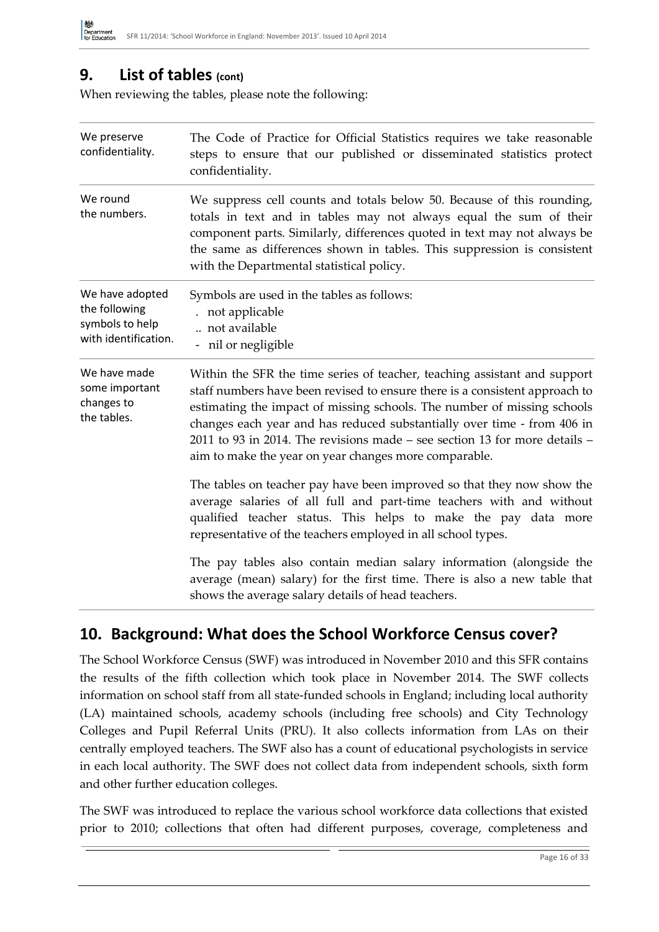### **9. List of tables (cont)**

When reviewing the tables, please note the following:

| We preserve<br>confidentiality.                                             | The Code of Practice for Official Statistics requires we take reasonable<br>steps to ensure that our published or disseminated statistics protect<br>confidentiality.                                                                                                                                                                                                                                                                                 |
|-----------------------------------------------------------------------------|-------------------------------------------------------------------------------------------------------------------------------------------------------------------------------------------------------------------------------------------------------------------------------------------------------------------------------------------------------------------------------------------------------------------------------------------------------|
| We round<br>the numbers.                                                    | We suppress cell counts and totals below 50. Because of this rounding,<br>totals in text and in tables may not always equal the sum of their<br>component parts. Similarly, differences quoted in text may not always be<br>the same as differences shown in tables. This suppression is consistent<br>with the Departmental statistical policy.                                                                                                      |
| We have adopted<br>the following<br>symbols to help<br>with identification. | Symbols are used in the tables as follows:<br>not applicable<br>not available<br>- nil or negligible                                                                                                                                                                                                                                                                                                                                                  |
| We have made<br>some important<br>changes to<br>the tables.                 | Within the SFR the time series of teacher, teaching assistant and support<br>staff numbers have been revised to ensure there is a consistent approach to<br>estimating the impact of missing schools. The number of missing schools<br>changes each year and has reduced substantially over time - from 406 in<br>2011 to 93 in 2014. The revisions made – see section 13 for more details –<br>aim to make the year on year changes more comparable. |
|                                                                             | The tables on teacher pay have been improved so that they now show the<br>average salaries of all full and part-time teachers with and without<br>qualified teacher status. This helps to make the pay data more<br>representative of the teachers employed in all school types.                                                                                                                                                                      |
|                                                                             | The pay tables also contain median salary information (alongside the<br>average (mean) salary) for the first time. There is also a new table that<br>shows the average salary details of head teachers.                                                                                                                                                                                                                                               |

### **10. Background: What does the School Workforce Census cover?**

The School Workforce Census (SWF) was introduced in November 2010 and this SFR contains the results of the fifth collection which took place in November 2014. The SWF collects information on school staff from all state-funded schools in England; including local authority (LA) maintained schools, academy schools (including free schools) and City Technology Colleges and Pupil Referral Units (PRU). It also collects information from LAs on their centrally employed teachers. The SWF also has a count of educational psychologists in service in each local authority. The SWF does not collect data from independent schools, sixth form and other further education colleges.

The SWF was introduced to replace the various school workforce data collections that existed prior to 2010; collections that often had different purposes, coverage, completeness and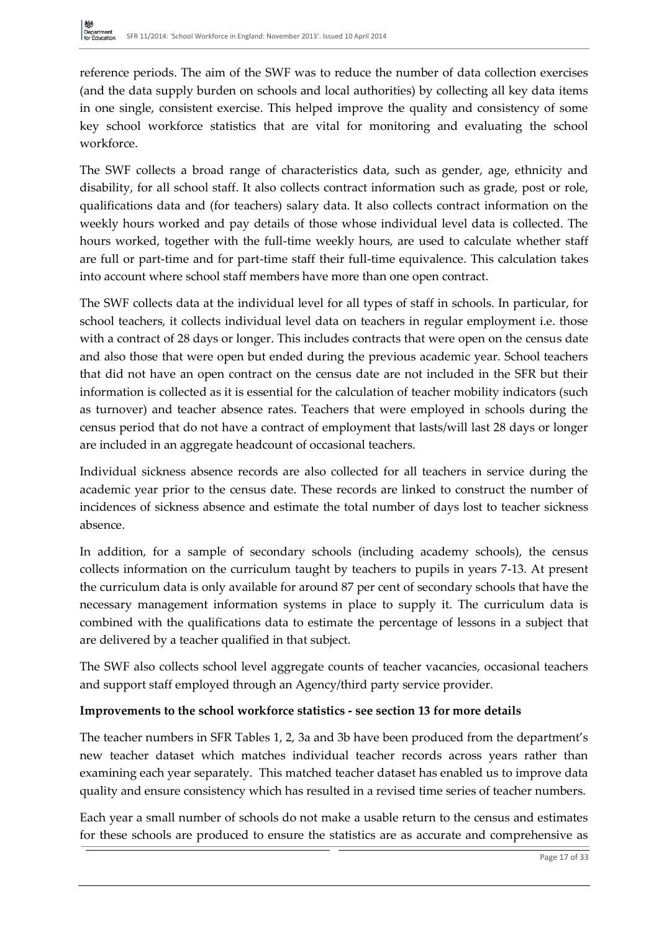reference periods. The aim of the SWF was to reduce the number of data collection exercises (and the data supply burden on schools and local authorities) by collecting all key data items in one single, consistent exercise. This helped improve the quality and consistency of some key school workforce statistics that are vital for monitoring and evaluating the school workforce.

The SWF collects a broad range of characteristics data, such as gender, age, ethnicity and disability, for all school staff. It also collects contract information such as grade, post or role, qualifications data and (for teachers) salary data. It also collects contract information on the weekly hours worked and pay details of those whose individual level data is collected. The hours worked, together with the full-time weekly hours, are used to calculate whether staff are full or part-time and for part-time staff their full-time equivalence. This calculation takes into account where school staff members have more than one open contract.

The SWF collects data at the individual level for all types of staff in schools. In particular, for school teachers, it collects individual level data on teachers in regular employment i.e. those with a contract of 28 days or longer. This includes contracts that were open on the census date and also those that were open but ended during the previous academic year. School teachers that did not have an open contract on the census date are not included in the SFR but their information is collected as it is essential for the calculation of teacher mobility indicators (such as turnover) and teacher absence rates. Teachers that were employed in schools during the census period that do not have a contract of employment that lasts/will last 28 days or longer are included in an aggregate headcount of occasional teachers.

Individual sickness absence records are also collected for all teachers in service during the academic year prior to the census date. These records are linked to construct the number of incidences of sickness absence and estimate the total number of days lost to teacher sickness absence.

In addition, for a sample of secondary schools (including academy schools), the census collects information on the curriculum taught by teachers to pupils in years 7-13. At present the curriculum data is only available for around 87 per cent of secondary schools that have the necessary management information systems in place to supply it. The curriculum data is combined with the qualifications data to estimate the percentage of lessons in a subject that are delivered by a teacher qualified in that subject.

The SWF also collects school level aggregate counts of teacher vacancies, occasional teachers and support staff employed through an Agency/third party service provider.

#### **Improvements to the school workforce statistics - see section 13 for more details**

The teacher numbers in SFR Tables 1, 2, 3a and 3b have been produced from the department's new teacher dataset which matches individual teacher records across years rather than examining each year separately. This matched teacher dataset has enabled us to improve data quality and ensure consistency which has resulted in a revised time series of teacher numbers.

Each year a small number of schools do not make a usable return to the census and estimates for these schools are produced to ensure the statistics are as accurate and comprehensive as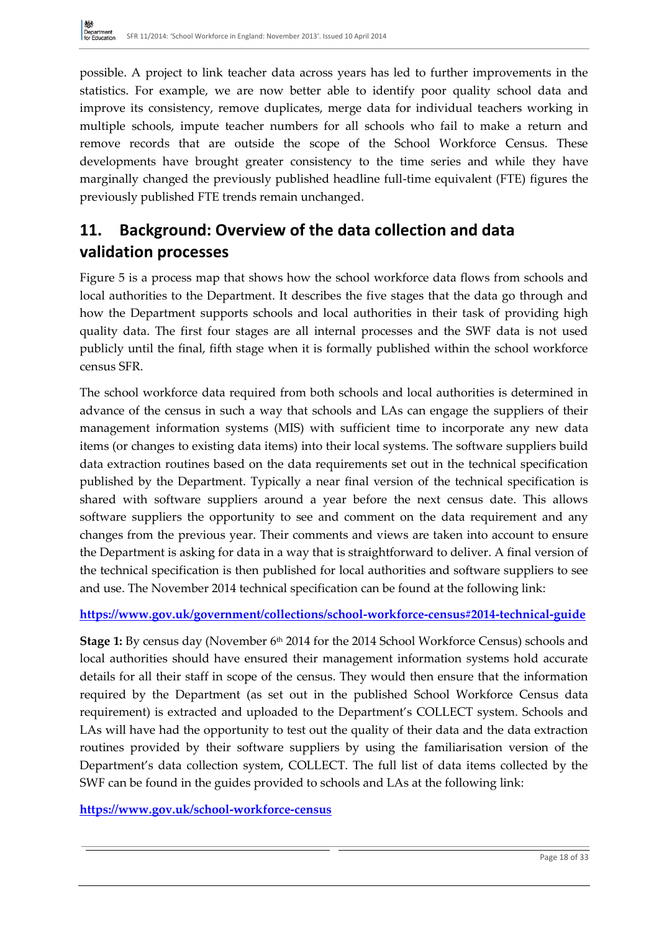possible. A project to link teacher data across years has led to further improvements in the statistics. For example, we are now better able to identify poor quality school data and improve its consistency, remove duplicates, merge data for individual teachers working in multiple schools, impute teacher numbers for all schools who fail to make a return and remove records that are outside the scope of the School Workforce Census. These developments have brought greater consistency to the time series and while they have marginally changed the previously published headline full-time equivalent (FTE) figures the previously published FTE trends remain unchanged.

### **11. Background: Overview of the data collection and data validation processes**

Figure 5 is a process map that shows how the school workforce data flows from schools and local authorities to the Department. It describes the five stages that the data go through and how the Department supports schools and local authorities in their task of providing high quality data. The first four stages are all internal processes and the SWF data is not used publicly until the final, fifth stage when it is formally published within the school workforce census SFR.

The school workforce data required from both schools and local authorities is determined in advance of the census in such a way that schools and LAs can engage the suppliers of their management information systems (MIS) with sufficient time to incorporate any new data items (or changes to existing data items) into their local systems. The software suppliers build data extraction routines based on the data requirements set out in the technical specification published by the Department. Typically a near final version of the technical specification is shared with software suppliers around a year before the next census date. This allows software suppliers the opportunity to see and comment on the data requirement and any changes from the previous year. Their comments and views are taken into account to ensure the Department is asking for data in a way that is straightforward to deliver. A final version of the technical specification is then published for local authorities and software suppliers to see and use. The November 2014 technical specification can be found at the following link:

#### **<https://www.gov.uk/government/collections/school-workforce-census#2014-technical-guide>**

**Stage 1:** By census day (November 6<sup>th</sup> 2014 for the 2014 School Workforce Census) schools and local authorities should have ensured their management information systems hold accurate details for all their staff in scope of the census. They would then ensure that the information required by the Department (as set out in the published School Workforce Census data requirement) is extracted and uploaded to the Department's COLLECT system. Schools and LAs will have had the opportunity to test out the quality of their data and the data extraction routines provided by their software suppliers by using the familiarisation version of the Department's data collection system, COLLECT. The full list of data items collected by the SWF can be found in the guides provided to schools and LAs at the following link:

#### **<https://www.gov.uk/school-workforce-census>**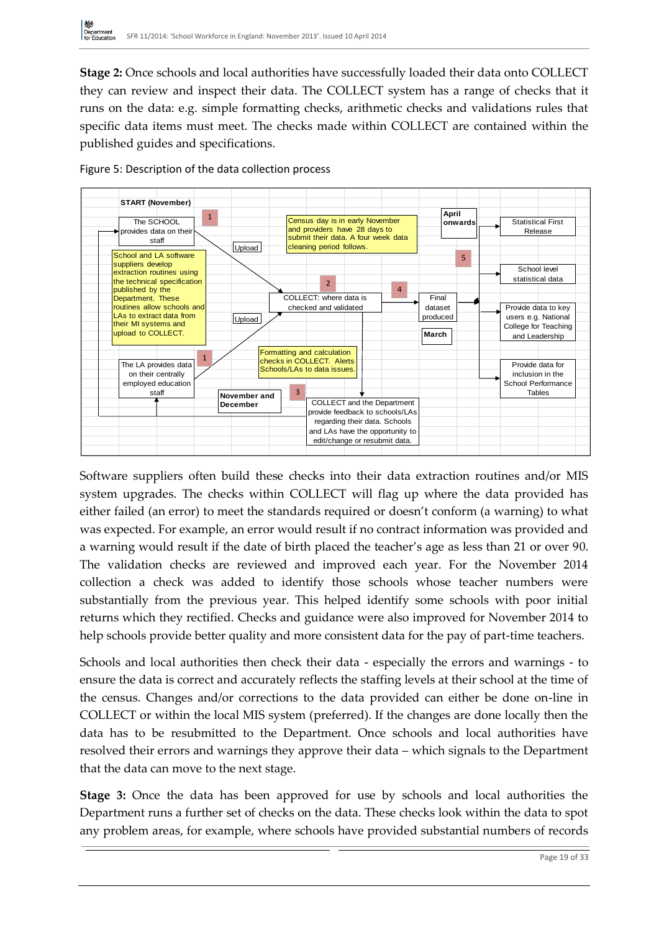**Stage 2:** Once schools and local authorities have successfully loaded their data onto COLLECT they can review and inspect their data. The COLLECT system has a range of checks that it runs on the data: e.g. simple formatting checks, arithmetic checks and validations rules that specific data items must meet. The checks made within COLLECT are contained within the published guides and specifications.



Figure 5: Description of the data collection process

Software suppliers often build these checks into their data extraction routines and/or MIS system upgrades. The checks within COLLECT will flag up where the data provided has either failed (an error) to meet the standards required or doesn't conform (a warning) to what was expected. For example, an error would result if no contract information was provided and a warning would result if the date of birth placed the teacher's age as less than 21 or over 90. The validation checks are reviewed and improved each year. For the November 2014 collection a check was added to identify those schools whose teacher numbers were substantially from the previous year. This helped identify some schools with poor initial returns which they rectified. Checks and guidance were also improved for November 2014 to help schools provide better quality and more consistent data for the pay of part-time teachers.

Schools and local authorities then check their data - especially the errors and warnings - to ensure the data is correct and accurately reflects the staffing levels at their school at the time of the census. Changes and/or corrections to the data provided can either be done on-line in COLLECT or within the local MIS system (preferred). If the changes are done locally then the data has to be resubmitted to the Department. Once schools and local authorities have resolved their errors and warnings they approve their data – which signals to the Department that the data can move to the next stage.

**Stage 3:** Once the data has been approved for use by schools and local authorities the Department runs a further set of checks on the data. These checks look within the data to spot any problem areas, for example, where schools have provided substantial numbers of records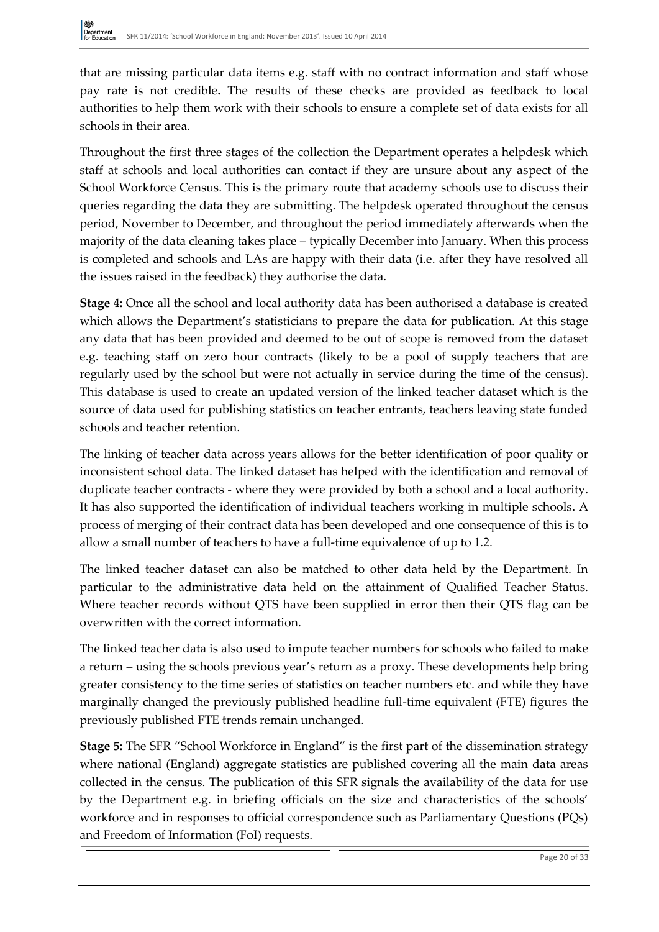that are missing particular data items e.g. staff with no contract information and staff whose pay rate is not credible**.** The results of these checks are provided as feedback to local authorities to help them work with their schools to ensure a complete set of data exists for all schools in their area.

Throughout the first three stages of the collection the Department operates a helpdesk which staff at schools and local authorities can contact if they are unsure about any aspect of the School Workforce Census. This is the primary route that academy schools use to discuss their queries regarding the data they are submitting. The helpdesk operated throughout the census period, November to December, and throughout the period immediately afterwards when the majority of the data cleaning takes place – typically December into January. When this process is completed and schools and LAs are happy with their data (i.e. after they have resolved all the issues raised in the feedback) they authorise the data.

**Stage 4:** Once all the school and local authority data has been authorised a database is created which allows the Department's statisticians to prepare the data for publication. At this stage any data that has been provided and deemed to be out of scope is removed from the dataset e.g. teaching staff on zero hour contracts (likely to be a pool of supply teachers that are regularly used by the school but were not actually in service during the time of the census). This database is used to create an updated version of the linked teacher dataset which is the source of data used for publishing statistics on teacher entrants, teachers leaving state funded schools and teacher retention.

The linking of teacher data across years allows for the better identification of poor quality or inconsistent school data. The linked dataset has helped with the identification and removal of duplicate teacher contracts - where they were provided by both a school and a local authority. It has also supported the identification of individual teachers working in multiple schools. A process of merging of their contract data has been developed and one consequence of this is to allow a small number of teachers to have a full-time equivalence of up to 1.2.

The linked teacher dataset can also be matched to other data held by the Department. In particular to the administrative data held on the attainment of Qualified Teacher Status. Where teacher records without QTS have been supplied in error then their QTS flag can be overwritten with the correct information.

The linked teacher data is also used to impute teacher numbers for schools who failed to make a return – using the schools previous year's return as a proxy. These developments help bring greater consistency to the time series of statistics on teacher numbers etc. and while they have marginally changed the previously published headline full-time equivalent (FTE) figures the previously published FTE trends remain unchanged.

**Stage 5:** The SFR "School Workforce in England" is the first part of the dissemination strategy where national (England) aggregate statistics are published covering all the main data areas collected in the census. The publication of this SFR signals the availability of the data for use by the Department e.g. in briefing officials on the size and characteristics of the schools' workforce and in responses to official correspondence such as Parliamentary Questions (PQs) and Freedom of Information (FoI) requests.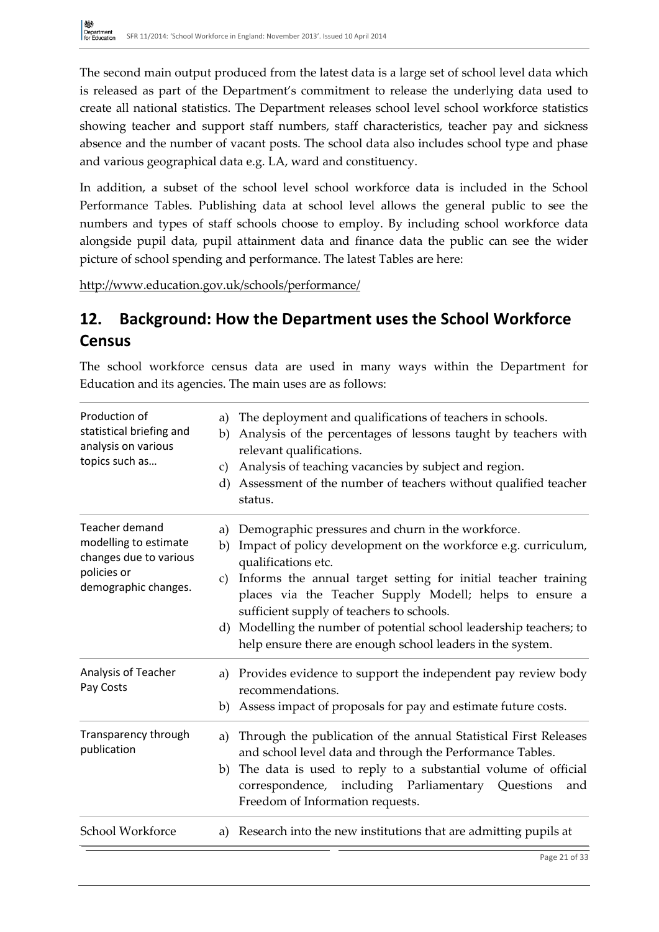The second main output produced from the latest data is a large set of school level data which is released as part of the Department's commitment to release the underlying data used to create all national statistics. The Department releases school level school workforce statistics showing teacher and support staff numbers, staff characteristics, teacher pay and sickness absence and the number of vacant posts. The school data also includes school type and phase and various geographical data e.g. LA, ward and constituency.

In addition, a subset of the school level school workforce data is included in the School Performance Tables. Publishing data at school level allows the general public to see the numbers and types of staff schools choose to employ. By including school workforce data alongside pupil data, pupil attainment data and finance data the public can see the wider picture of school spending and performance. The latest Tables are here:

<http://www.education.gov.uk/schools/performance/>

### **12. Background: How the Department uses the School Workforce Census**

The school workforce census data are used in many ways within the Department for Education and its agencies. The main uses are as follows:

| Production of<br>statistical briefing and<br>analysis on various<br>topics such as                              | a)<br>b)<br>c)<br>d) | The deployment and qualifications of teachers in schools.<br>Analysis of the percentages of lessons taught by teachers with<br>relevant qualifications.<br>Analysis of teaching vacancies by subject and region.<br>Assessment of the number of teachers without qualified teacher<br>status.                        |
|-----------------------------------------------------------------------------------------------------------------|----------------------|----------------------------------------------------------------------------------------------------------------------------------------------------------------------------------------------------------------------------------------------------------------------------------------------------------------------|
| <b>Teacher demand</b><br>modelling to estimate<br>changes due to various<br>policies or<br>demographic changes. | a)<br>b)<br>c)       | Demographic pressures and churn in the workforce.<br>Impact of policy development on the workforce e.g. curriculum,<br>qualifications etc.<br>Informs the annual target setting for initial teacher training<br>places via the Teacher Supply Modell; helps to ensure a<br>sufficient supply of teachers to schools. |
|                                                                                                                 |                      | d) Modelling the number of potential school leadership teachers; to<br>help ensure there are enough school leaders in the system.                                                                                                                                                                                    |
| Analysis of Teacher<br>Pay Costs                                                                                |                      | a) Provides evidence to support the independent pay review body<br>recommendations.<br>b) Assess impact of proposals for pay and estimate future costs.                                                                                                                                                              |
| Transparency through<br>publication                                                                             | a)                   | Through the publication of the annual Statistical First Releases<br>and school level data and through the Performance Tables.<br>b) The data is used to reply to a substantial volume of official<br>correspondence, including Parliamentary Questions<br>and<br>Freedom of Information requests.                    |
| School Workforce                                                                                                | a)                   | Research into the new institutions that are admitting pupils at                                                                                                                                                                                                                                                      |
|                                                                                                                 |                      | Page 21 of 33                                                                                                                                                                                                                                                                                                        |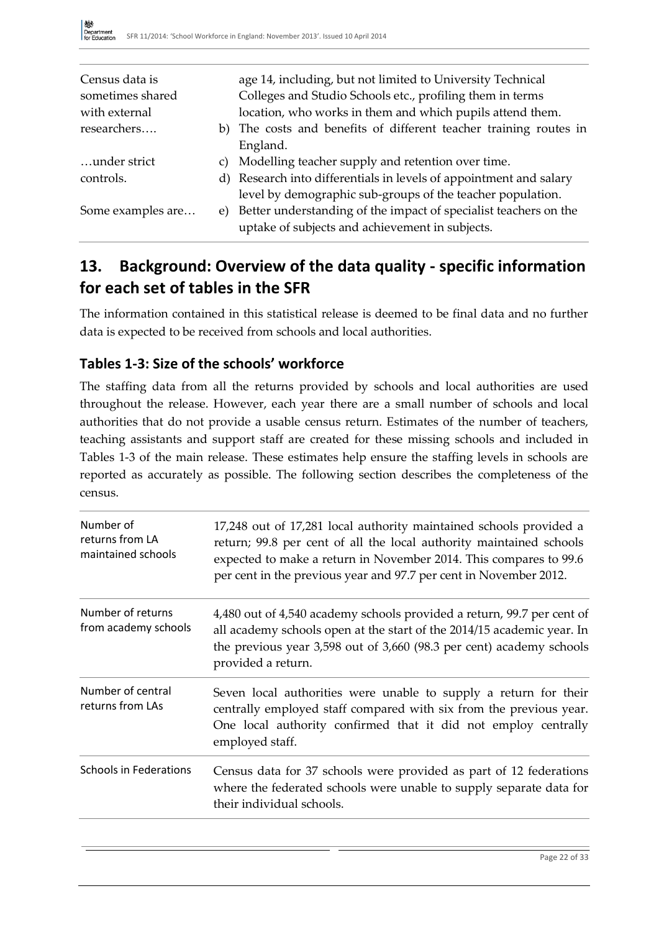| Census data is    | age 14, including, but not limited to University Technical          |
|-------------------|---------------------------------------------------------------------|
| sometimes shared  | Colleges and Studio Schools etc., profiling them in terms           |
| with external     | location, who works in them and which pupils attend them.           |
| researchers       | b) The costs and benefits of different teacher training routes in   |
|                   | England.                                                            |
| under strict      | c) Modelling teacher supply and retention over time.                |
| controls.         | d) Research into differentials in levels of appointment and salary  |
|                   | level by demographic sub-groups of the teacher population.          |
| Some examples are | e) Better understanding of the impact of specialist teachers on the |
|                   | uptake of subjects and achievement in subjects.                     |

### **13. Background: Overview of the data quality - specific information for each set of tables in the SFR**

The information contained in this statistical release is deemed to be final data and no further data is expected to be received from schools and local authorities.

### **Tables 1-3: Size of the schools' workforce**

The staffing data from all the returns provided by schools and local authorities are used throughout the release. However, each year there are a small number of schools and local authorities that do not provide a usable census return. Estimates of the number of teachers, teaching assistants and support staff are created for these missing schools and included in Tables 1-3 of the main release. These estimates help ensure the staffing levels in schools are reported as accurately as possible. The following section describes the completeness of the census.

| Number of<br>returns from LA<br>maintained schools | 17,248 out of 17,281 local authority maintained schools provided a<br>return; 99.8 per cent of all the local authority maintained schools<br>expected to make a return in November 2014. This compares to 99.6<br>per cent in the previous year and 97.7 per cent in November 2012. |
|----------------------------------------------------|-------------------------------------------------------------------------------------------------------------------------------------------------------------------------------------------------------------------------------------------------------------------------------------|
| Number of returns<br>from academy schools          | 4,480 out of 4,540 academy schools provided a return, 99.7 per cent of<br>all academy schools open at the start of the 2014/15 academic year. In<br>the previous year 3,598 out of 3,660 (98.3 per cent) academy schools<br>provided a return.                                      |
| Number of central<br>returns from LAs              | Seven local authorities were unable to supply a return for their<br>centrally employed staff compared with six from the previous year.<br>One local authority confirmed that it did not employ centrally<br>employed staff.                                                         |
| <b>Schools in Federations</b>                      | Census data for 37 schools were provided as part of 12 federations<br>where the federated schools were unable to supply separate data for<br>their individual schools.                                                                                                              |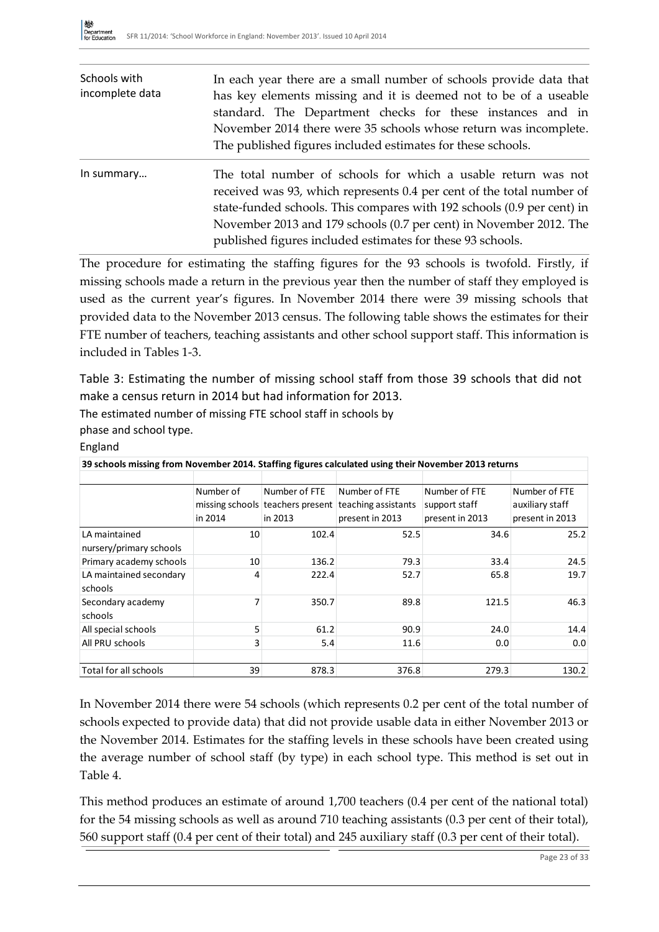| Schools with<br>incomplete data | In each year there are a small number of schools provide data that<br>has key elements missing and it is deemed not to be of a useable<br>standard. The Department checks for these instances and in<br>November 2014 there were 35 schools whose return was incomplete.<br>The published figures included estimates for these schools.              |
|---------------------------------|------------------------------------------------------------------------------------------------------------------------------------------------------------------------------------------------------------------------------------------------------------------------------------------------------------------------------------------------------|
| In summary                      | The total number of schools for which a usable return was not<br>received was 93, which represents 0.4 per cent of the total number of<br>state-funded schools. This compares with 192 schools (0.9 per cent) in<br>November 2013 and 179 schools (0.7 per cent) in November 2012. The<br>published figures included estimates for these 93 schools. |

The procedure for estimating the staffing figures for the 93 schools is twofold. Firstly, if missing schools made a return in the previous year then the number of staff they employed is used as the current year's figures. In November 2014 there were 39 missing schools that provided data to the November 2013 census. The following table shows the estimates for their FTE number of teachers, teaching assistants and other school support staff. This information is included in Tables 1-3.

Table 3: Estimating the number of missing school staff from those 39 schools that did not make a census return in 2014 but had information for 2013.

The estimated number of missing FTE school staff in schools by

phase and school type.

#### England

| 39 schools missing from November 2014. Staffing figures calculated using their November 2013 returns |                |               |                                                      |                 |                 |
|------------------------------------------------------------------------------------------------------|----------------|---------------|------------------------------------------------------|-----------------|-----------------|
|                                                                                                      |                |               |                                                      |                 |                 |
|                                                                                                      | Number of      | Number of FTE | Number of FTE                                        | Number of FTE   | Number of FTE   |
|                                                                                                      |                |               | missing schools teachers present teaching assistants | support staff   | auxiliary staff |
|                                                                                                      | in 2014        | in 2013       | present in 2013                                      | present in 2013 | present in 2013 |
| LA maintained                                                                                        | 10             | 102.4         | 52.5                                                 | 34.6            | 25.2            |
| nursery/primary schools                                                                              |                |               |                                                      |                 |                 |
| Primary academy schools                                                                              | 10             | 136.2         | 79.3                                                 | 33.4            | 24.5            |
| LA maintained secondary                                                                              | 4              | 222.4         | 52.7                                                 | 65.8            | 19.7            |
| schools                                                                                              |                |               |                                                      |                 |                 |
| Secondary academy                                                                                    | 7              | 350.7         | 89.8                                                 | 121.5           | 46.3            |
| schools                                                                                              |                |               |                                                      |                 |                 |
| All special schools                                                                                  | 5              | 61.2          | 90.9                                                 | 24.0            | 14.4            |
| All PRU schools                                                                                      | $\overline{3}$ | 5.4           | 11.6                                                 | 0.0             | 0.0             |
|                                                                                                      |                |               |                                                      |                 |                 |
| Total for all schools                                                                                | 39             | 878.3         | 376.8                                                | 279.3           | 130.2           |

In November 2014 there were 54 schools (which represents 0.2 per cent of the total number of schools expected to provide data) that did not provide usable data in either November 2013 or the November 2014. Estimates for the staffing levels in these schools have been created using the average number of school staff (by type) in each school type. This method is set out in Table 4.

This method produces an estimate of around 1,700 teachers (0.4 per cent of the national total) for the 54 missing schools as well as around 710 teaching assistants (0.3 per cent of their total), 560 support staff (0.4 per cent of their total) and 245 auxiliary staff (0.3 per cent of their total).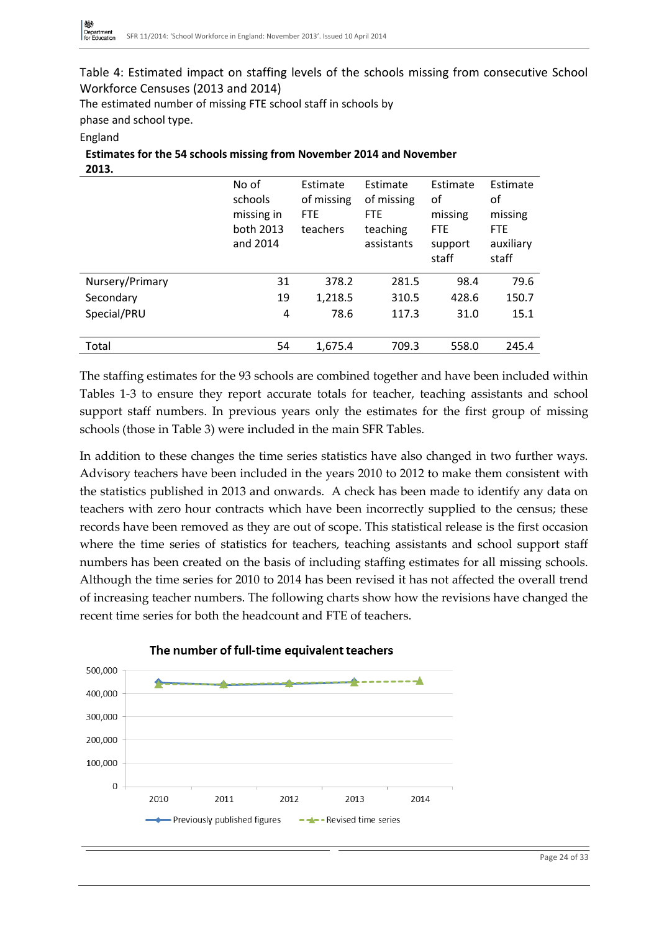Table 4: Estimated impact on staffing levels of the schools missing from consecutive School Workforce Censuses (2013 and 2014)

The estimated number of missing FTE school staff in schools by

phase and school type.

England

| <b>Estimates for the 54 schools missing from November 2014 and November</b> |  |
|-----------------------------------------------------------------------------|--|
| 2013.                                                                       |  |

|                 | No of<br>schools<br>missing in<br>both 2013<br>and 2014 | Estimate<br>of missing<br><b>FTE</b><br>teachers | Estimate<br>of missing<br><b>FTE</b><br>teaching<br>assistants | Estimate<br>οf<br>missing<br><b>FTE</b><br>support<br>staff | Estimate<br>οf<br>missing<br><b>FTE</b><br>auxiliary<br>staff |
|-----------------|---------------------------------------------------------|--------------------------------------------------|----------------------------------------------------------------|-------------------------------------------------------------|---------------------------------------------------------------|
| Nursery/Primary | 31                                                      | 378.2                                            | 281.5                                                          | 98.4                                                        | 79.6                                                          |
| Secondary       | 19                                                      | 1,218.5                                          | 310.5                                                          | 428.6                                                       | 150.7                                                         |
| Special/PRU     | 4                                                       | 78.6                                             | 117.3                                                          | 31.0                                                        | 15.1                                                          |
| Total           | 54                                                      | 1,675.4                                          | 709.3                                                          | 558.0                                                       | 245.4                                                         |

The staffing estimates for the 93 schools are combined together and have been included within Tables 1-3 to ensure they report accurate totals for teacher, teaching assistants and school support staff numbers. In previous years only the estimates for the first group of missing schools (those in Table 3) were included in the main SFR Tables.

In addition to these changes the time series statistics have also changed in two further ways. Advisory teachers have been included in the years 2010 to 2012 to make them consistent with the statistics published in 2013 and onwards. A check has been made to identify any data on teachers with zero hour contracts which have been incorrectly supplied to the census; these records have been removed as they are out of scope. This statistical release is the first occasion where the time series of statistics for teachers, teaching assistants and school support staff numbers has been created on the basis of including staffing estimates for all missing schools. Although the time series for 2010 to 2014 has been revised it has not affected the overall trend of increasing teacher numbers. The following charts show how the revisions have changed the recent time series for both the headcount and FTE of teachers.



The number of full-time equivalent teachers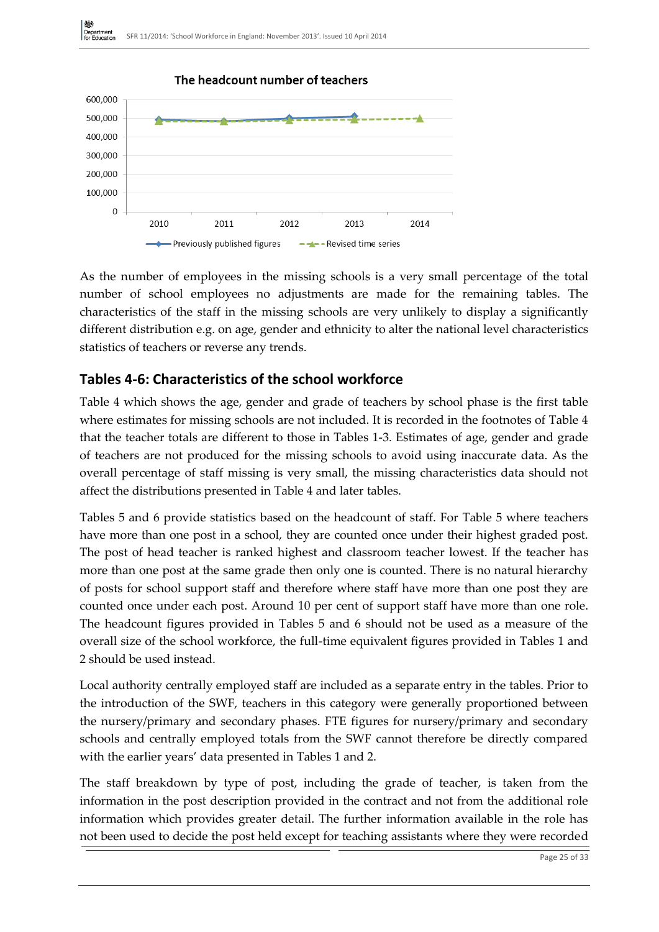

As the number of employees in the missing schools is a very small percentage of the total number of school employees no adjustments are made for the remaining tables. The characteristics of the staff in the missing schools are very unlikely to display a significantly different distribution e.g. on age, gender and ethnicity to alter the national level characteristics statistics of teachers or reverse any trends.

### **Tables 4-6: Characteristics of the school workforce**

Table 4 which shows the age, gender and grade of teachers by school phase is the first table where estimates for missing schools are not included. It is recorded in the footnotes of Table 4 that the teacher totals are different to those in Tables 1-3. Estimates of age, gender and grade of teachers are not produced for the missing schools to avoid using inaccurate data. As the overall percentage of staff missing is very small, the missing characteristics data should not affect the distributions presented in Table 4 and later tables.

Tables 5 and 6 provide statistics based on the headcount of staff. For Table 5 where teachers have more than one post in a school, they are counted once under their highest graded post. The post of head teacher is ranked highest and classroom teacher lowest. If the teacher has more than one post at the same grade then only one is counted. There is no natural hierarchy of posts for school support staff and therefore where staff have more than one post they are counted once under each post. Around 10 per cent of support staff have more than one role. The headcount figures provided in Tables 5 and 6 should not be used as a measure of the overall size of the school workforce, the full-time equivalent figures provided in Tables 1 and 2 should be used instead.

Local authority centrally employed staff are included as a separate entry in the tables. Prior to the introduction of the SWF, teachers in this category were generally proportioned between the nursery/primary and secondary phases. FTE figures for nursery/primary and secondary schools and centrally employed totals from the SWF cannot therefore be directly compared with the earlier years' data presented in Tables 1 and 2.

The staff breakdown by type of post, including the grade of teacher, is taken from the information in the post description provided in the contract and not from the additional role information which provides greater detail. The further information available in the role has not been used to decide the post held except for teaching assistants where they were recorded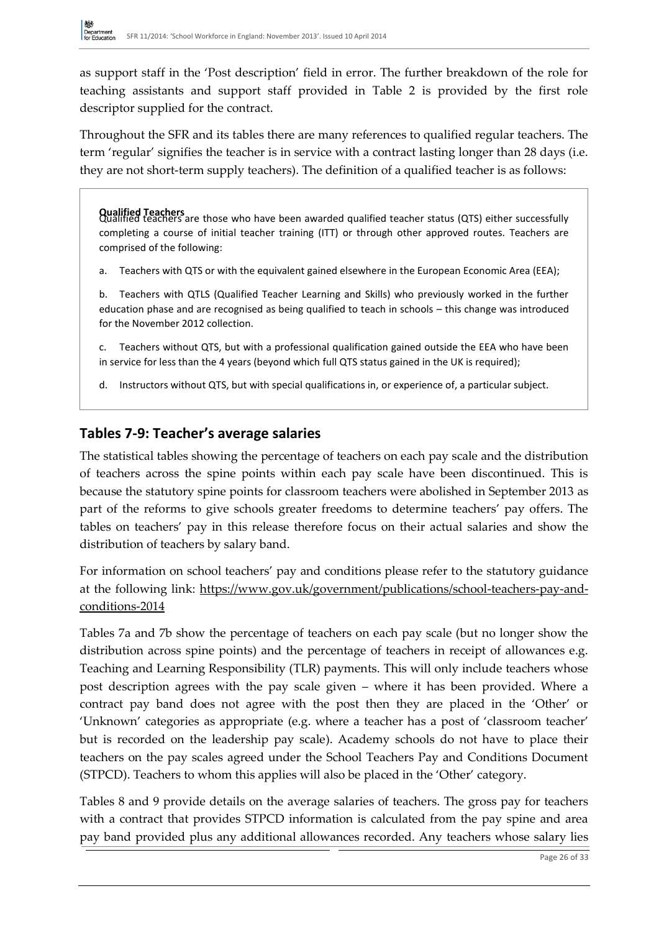as support staff in the 'Post description' field in error. The further breakdown of the role for teaching assistants and support staff provided in Table 2 is provided by the first role descriptor supplied for the contract.

Throughout the SFR and its tables there are many references to qualified regular teachers. The term 'regular' signifies the teacher is in service with a contract lasting longer than 28 days (i.e. they are not short-term supply teachers). The definition of a qualified teacher is as follows:

**Qualified Teachers**<br>Qualified teachers are those who have been awarded qualified teacher status (QTS) either successfully completing a course of initial teacher training (ITT) or through other approved routes. Teachers are comprised of the following:

a. Teachers with QTS or with the equivalent gained elsewhere in the European Economic Area (EEA);

b. Teachers with QTLS (Qualified Teacher Learning and Skills) who previously worked in the further education phase and are recognised as being qualified to teach in schools – this change was introduced for the November 2012 collection.

c. Teachers without QTS, but with a professional qualification gained outside the EEA who have been in service for less than the 4 years (beyond which full QTS status gained in the UK is required);

d. Instructors without QTS, but with special qualifications in, or experience of, a particular subject.

### **Tables 7-9: Teacher's average salaries**

The statistical tables showing the percentage of teachers on each pay scale and the distribution of teachers across the spine points within each pay scale have been discontinued. This is because the statutory spine points for classroom teachers were abolished in September 2013 as part of the reforms to give schools greater freedoms to determine teachers' pay offers. The tables on teachers' pay in this release therefore focus on their actual salaries and show the distribution of teachers by salary band.

For information on school teachers' pay and conditions please refer to the statutory guidance at the following link: [https://www.gov.uk/government/publications/school-teachers-pay-and](https://www.gov.uk/government/publications/school-teachers-pay-and-conditions-2014)[conditions-2014](https://www.gov.uk/government/publications/school-teachers-pay-and-conditions-2014)

Tables 7a and 7b show the percentage of teachers on each pay scale (but no longer show the distribution across spine points) and the percentage of teachers in receipt of allowances e.g. Teaching and Learning Responsibility (TLR) payments. This will only include teachers whose post description agrees with the pay scale given – where it has been provided. Where a contract pay band does not agree with the post then they are placed in the 'Other' or 'Unknown' categories as appropriate (e.g. where a teacher has a post of 'classroom teacher' but is recorded on the leadership pay scale). Academy schools do not have to place their teachers on the pay scales agreed under the School Teachers Pay and Conditions Document (STPCD). Teachers to whom this applies will also be placed in the 'Other' category.

Tables 8 and 9 provide details on the average salaries of teachers. The gross pay for teachers with a contract that provides STPCD information is calculated from the pay spine and area pay band provided plus any additional allowances recorded. Any teachers whose salary lies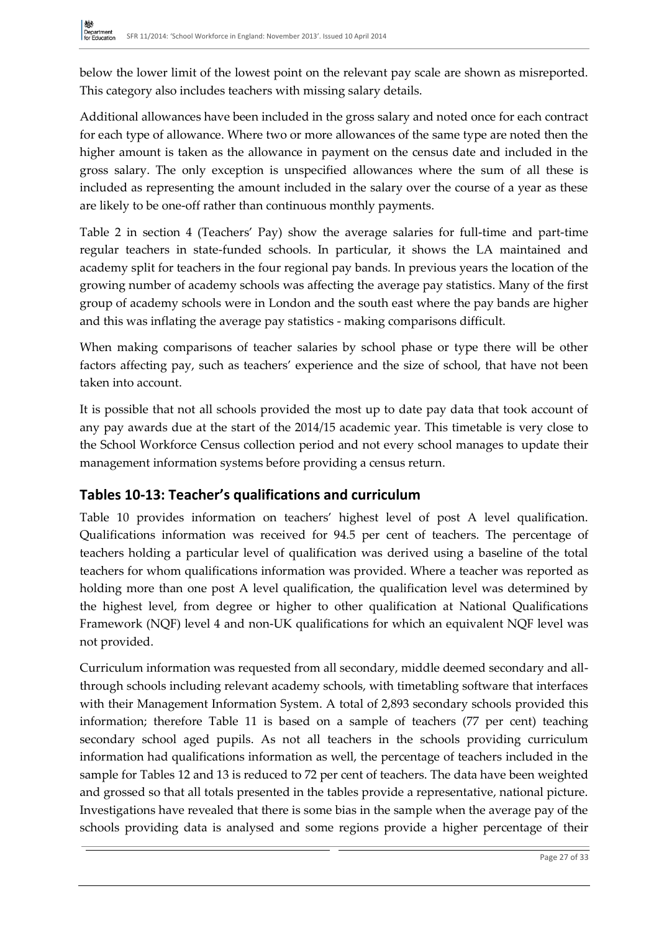below the lower limit of the lowest point on the relevant pay scale are shown as misreported. This category also includes teachers with missing salary details.

Additional allowances have been included in the gross salary and noted once for each contract for each type of allowance. Where two or more allowances of the same type are noted then the higher amount is taken as the allowance in payment on the census date and included in the gross salary. The only exception is unspecified allowances where the sum of all these is included as representing the amount included in the salary over the course of a year as these are likely to be one-off rather than continuous monthly payments.

Table 2 in section 4 (Teachers' Pay) show the average salaries for full-time and part-time regular teachers in state-funded schools. In particular, it shows the LA maintained and academy split for teachers in the four regional pay bands. In previous years the location of the growing number of academy schools was affecting the average pay statistics. Many of the first group of academy schools were in London and the south east where the pay bands are higher and this was inflating the average pay statistics - making comparisons difficult.

When making comparisons of teacher salaries by school phase or type there will be other factors affecting pay, such as teachers' experience and the size of school, that have not been taken into account.

It is possible that not all schools provided the most up to date pay data that took account of any pay awards due at the start of the 2014/15 academic year. This timetable is very close to the School Workforce Census collection period and not every school manages to update their management information systems before providing a census return.

### **Tables 10-13: Teacher's qualifications and curriculum**

Table 10 provides information on teachers' highest level of post A level qualification. Qualifications information was received for 94.5 per cent of teachers. The percentage of teachers holding a particular level of qualification was derived using a baseline of the total teachers for whom qualifications information was provided. Where a teacher was reported as holding more than one post A level qualification, the qualification level was determined by the highest level, from degree or higher to other qualification at National Qualifications Framework (NQF) level 4 and non-UK qualifications for which an equivalent NQF level was not provided.

Curriculum information was requested from all secondary, middle deemed secondary and allthrough schools including relevant academy schools, with timetabling software that interfaces with their Management Information System. A total of 2,893 secondary schools provided this information; therefore Table 11 is based on a sample of teachers (77 per cent) teaching secondary school aged pupils. As not all teachers in the schools providing curriculum information had qualifications information as well, the percentage of teachers included in the sample for Tables 12 and 13 is reduced to 72 per cent of teachers. The data have been weighted and grossed so that all totals presented in the tables provide a representative, national picture. Investigations have revealed that there is some bias in the sample when the average pay of the schools providing data is analysed and some regions provide a higher percentage of their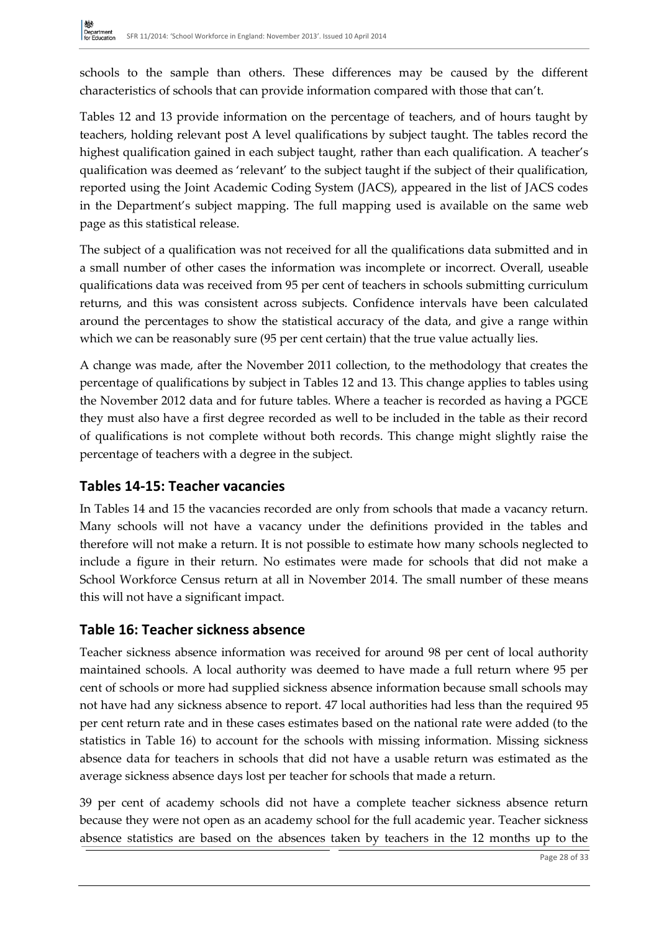schools to the sample than others. These differences may be caused by the different characteristics of schools that can provide information compared with those that can't.

Tables 12 and 13 provide information on the percentage of teachers, and of hours taught by teachers, holding relevant post A level qualifications by subject taught. The tables record the highest qualification gained in each subject taught, rather than each qualification. A teacher's qualification was deemed as 'relevant' to the subject taught if the subject of their qualification, reported using the Joint Academic Coding System (JACS), appeared in the list of JACS codes in the Department's subject mapping. The full mapping used is available on the same web page as this statistical release.

The subject of a qualification was not received for all the qualifications data submitted and in a small number of other cases the information was incomplete or incorrect. Overall, useable qualifications data was received from 95 per cent of teachers in schools submitting curriculum returns, and this was consistent across subjects. Confidence intervals have been calculated around the percentages to show the statistical accuracy of the data, and give a range within which we can be reasonably sure (95 per cent certain) that the true value actually lies.

A change was made, after the November 2011 collection, to the methodology that creates the percentage of qualifications by subject in Tables 12 and 13. This change applies to tables using the November 2012 data and for future tables. Where a teacher is recorded as having a PGCE they must also have a first degree recorded as well to be included in the table as their record of qualifications is not complete without both records. This change might slightly raise the percentage of teachers with a degree in the subject.

### **Tables 14-15: Teacher vacancies**

In Tables 14 and 15 the vacancies recorded are only from schools that made a vacancy return. Many schools will not have a vacancy under the definitions provided in the tables and therefore will not make a return. It is not possible to estimate how many schools neglected to include a figure in their return. No estimates were made for schools that did not make a School Workforce Census return at all in November 2014. The small number of these means this will not have a significant impact.

### **Table 16: Teacher sickness absence**

Teacher sickness absence information was received for around 98 per cent of local authority maintained schools. A local authority was deemed to have made a full return where 95 per cent of schools or more had supplied sickness absence information because small schools may not have had any sickness absence to report. 47 local authorities had less than the required 95 per cent return rate and in these cases estimates based on the national rate were added (to the statistics in Table 16) to account for the schools with missing information. Missing sickness absence data for teachers in schools that did not have a usable return was estimated as the average sickness absence days lost per teacher for schools that made a return.

39 per cent of academy schools did not have a complete teacher sickness absence return because they were not open as an academy school for the full academic year. Teacher sickness absence statistics are based on the absences taken by teachers in the 12 months up to the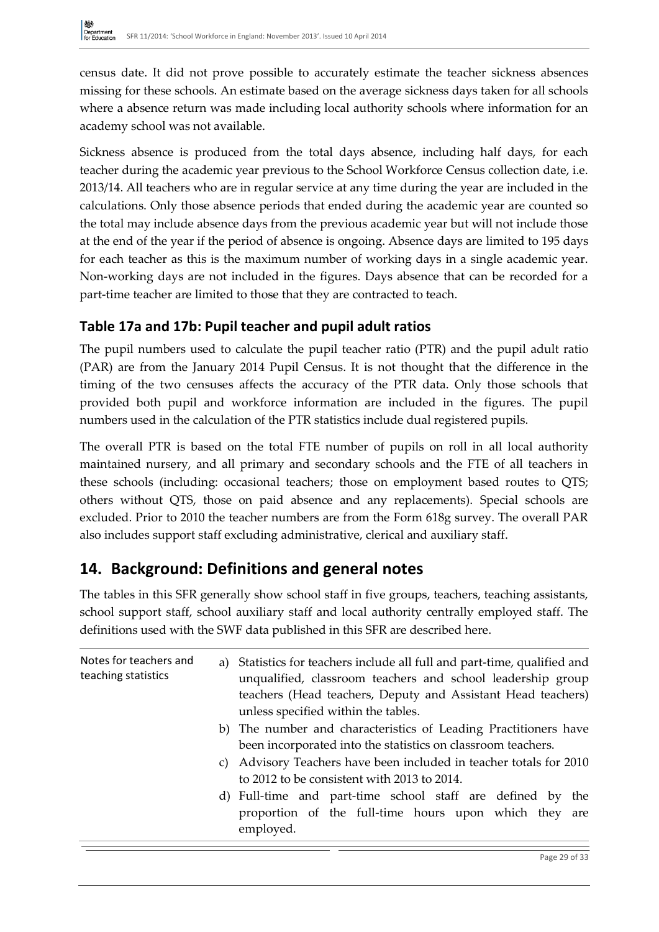census date. It did not prove possible to accurately estimate the teacher sickness absences missing for these schools. An estimate based on the average sickness days taken for all schools where a absence return was made including local authority schools where information for an academy school was not available.

Sickness absence is produced from the total days absence, including half days, for each teacher during the academic year previous to the School Workforce Census collection date, i.e. 2013/14. All teachers who are in regular service at any time during the year are included in the calculations. Only those absence periods that ended during the academic year are counted so the total may include absence days from the previous academic year but will not include those at the end of the year if the period of absence is ongoing. Absence days are limited to 195 days for each teacher as this is the maximum number of working days in a single academic year. Non-working days are not included in the figures. Days absence that can be recorded for a part-time teacher are limited to those that they are contracted to teach.

### **Table 17a and 17b: Pupil teacher and pupil adult ratios**

The pupil numbers used to calculate the pupil teacher ratio (PTR) and the pupil adult ratio (PAR) are from the January 2014 Pupil Census. It is not thought that the difference in the timing of the two censuses affects the accuracy of the PTR data. Only those schools that provided both pupil and workforce information are included in the figures. The pupil numbers used in the calculation of the PTR statistics include dual registered pupils.

The overall PTR is based on the total FTE number of pupils on roll in all local authority maintained nursery, and all primary and secondary schools and the FTE of all teachers in these schools (including: occasional teachers; those on employment based routes to QTS; others without QTS, those on paid absence and any replacements). Special schools are excluded. Prior to 2010 the teacher numbers are from the Form 618g survey. The overall PAR also includes support staff excluding administrative, clerical and auxiliary staff.

### **14. Background: Definitions and general notes**

The tables in this SFR generally show school staff in five groups, teachers, teaching assistants, school support staff, school auxiliary staff and local authority centrally employed staff. The definitions used with the SWF data published in this SFR are described here.

| Notes for teachers and<br>teaching statistics | a) Statistics for teachers include all full and part-time, qualified and<br>unqualified, classroom teachers and school leadership group<br>teachers (Head teachers, Deputy and Assistant Head teachers)<br>unless specified within the tables. |
|-----------------------------------------------|------------------------------------------------------------------------------------------------------------------------------------------------------------------------------------------------------------------------------------------------|
|                                               | b) The number and characteristics of Leading Practitioners have<br>been incorporated into the statistics on classroom teachers.                                                                                                                |
|                                               | c) Advisory Teachers have been included in teacher totals for 2010<br>to 2012 to be consistent with 2013 to 2014.                                                                                                                              |
|                                               | d) Full-time and part-time school staff are defined by the<br>proportion of the full-time hours upon which they are<br>employed.                                                                                                               |

Page 29 of 33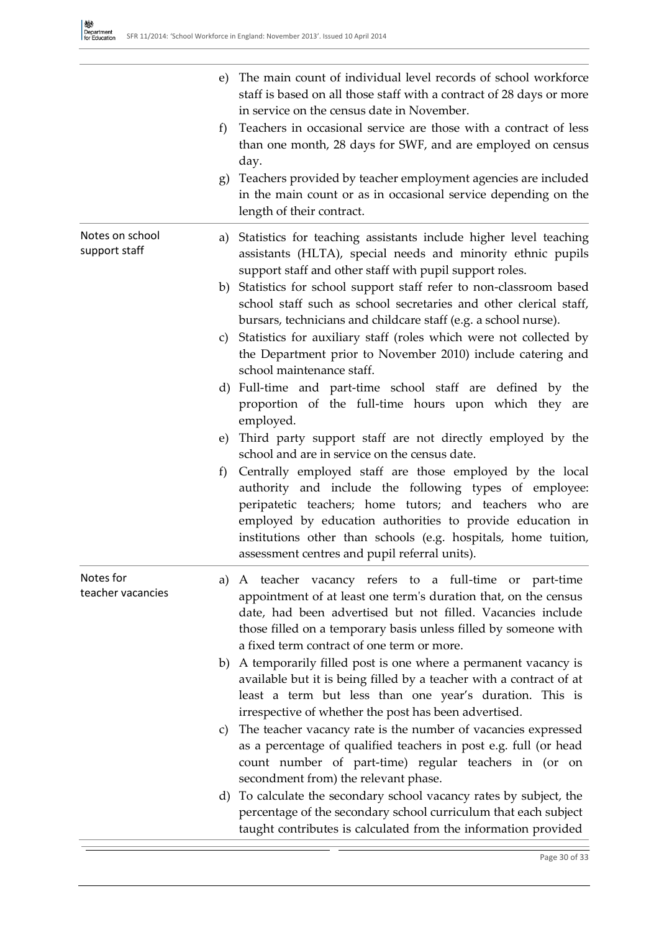|                                  | e) The main count of individual level records of school workforce<br>staff is based on all those staff with a contract of 28 days or more<br>in service on the census date in November.<br>Teachers in occasional service are those with a contract of less<br>f<br>than one month, 28 days for SWF, and are employed on census<br>day.<br>g) Teachers provided by teacher employment agencies are included<br>in the main count or as in occasional service depending on the<br>length of their contract. |
|----------------------------------|------------------------------------------------------------------------------------------------------------------------------------------------------------------------------------------------------------------------------------------------------------------------------------------------------------------------------------------------------------------------------------------------------------------------------------------------------------------------------------------------------------|
| Notes on school<br>support staff | a) Statistics for teaching assistants include higher level teaching<br>assistants (HLTA), special needs and minority ethnic pupils<br>support staff and other staff with pupil support roles.                                                                                                                                                                                                                                                                                                              |
|                                  | b) Statistics for school support staff refer to non-classroom based<br>school staff such as school secretaries and other clerical staff,                                                                                                                                                                                                                                                                                                                                                                   |
|                                  | bursars, technicians and childcare staff (e.g. a school nurse).<br>c) Statistics for auxiliary staff (roles which were not collected by<br>the Department prior to November 2010) include catering and<br>school maintenance staff.                                                                                                                                                                                                                                                                        |
|                                  | d) Full-time and part-time school staff are defined by the<br>proportion of the full-time hours upon which they are<br>employed.                                                                                                                                                                                                                                                                                                                                                                           |
|                                  | e) Third party support staff are not directly employed by the<br>school and are in service on the census date.                                                                                                                                                                                                                                                                                                                                                                                             |
|                                  | Centrally employed staff are those employed by the local<br>f)<br>authority and include the following types of employee:<br>peripatetic teachers; home tutors; and teachers who are<br>employed by education authorities to provide education in<br>institutions other than schools (e.g. hospitals, home tuition,<br>assessment centres and pupil referral units).                                                                                                                                        |
| Notes for<br>teacher vacancies   | A teacher vacancy refers to a full-time or part-time<br>a)<br>appointment of at least one term's duration that, on the census<br>date, had been advertised but not filled. Vacancies include<br>those filled on a temporary basis unless filled by someone with<br>a fixed term contract of one term or more.                                                                                                                                                                                              |
|                                  | b) A temporarily filled post is one where a permanent vacancy is<br>available but it is being filled by a teacher with a contract of at<br>least a term but less than one year's duration. This is                                                                                                                                                                                                                                                                                                         |
|                                  | irrespective of whether the post has been advertised.<br>The teacher vacancy rate is the number of vacancies expressed<br>C)<br>as a percentage of qualified teachers in post e.g. full (or head<br>count number of part-time) regular teachers in (or on<br>secondment from) the relevant phase.                                                                                                                                                                                                          |
|                                  | d) To calculate the secondary school vacancy rates by subject, the<br>percentage of the secondary school curriculum that each subject<br>taught contributes is calculated from the information provided                                                                                                                                                                                                                                                                                                    |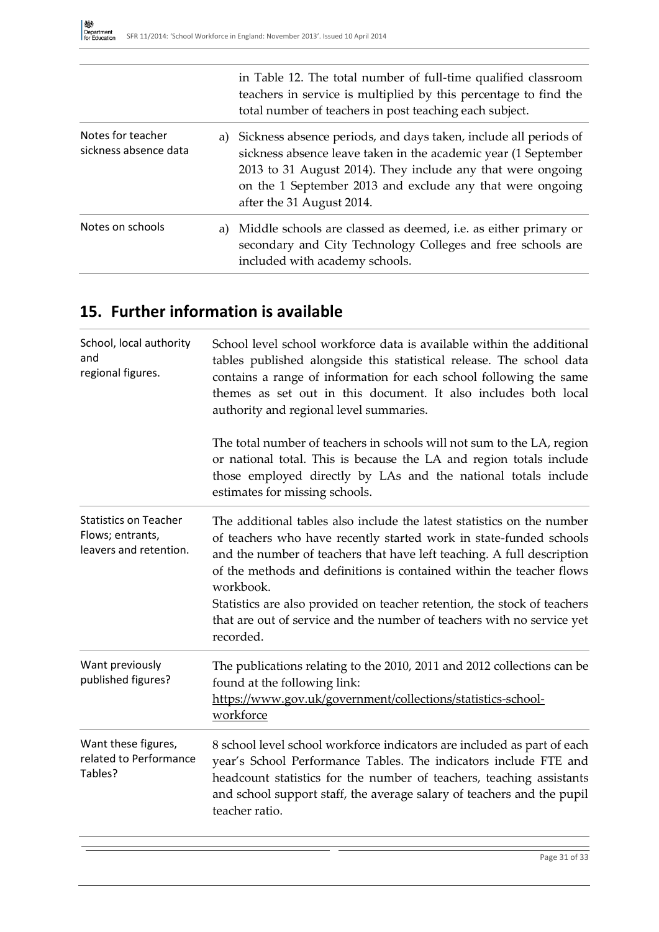|                                            |    | in Table 12. The total number of full-time qualified classroom<br>teachers in service is multiplied by this percentage to find the<br>total number of teachers in post teaching each subject.                                                                                                  |
|--------------------------------------------|----|------------------------------------------------------------------------------------------------------------------------------------------------------------------------------------------------------------------------------------------------------------------------------------------------|
| Notes for teacher<br>sickness absence data |    | a) Sickness absence periods, and days taken, include all periods of<br>sickness absence leave taken in the academic year (1 September<br>2013 to 31 August 2014). They include any that were ongoing<br>on the 1 September 2013 and exclude any that were ongoing<br>after the 31 August 2014. |
| Notes on schools                           | a) | Middle schools are classed as deemed, i.e. as either primary or<br>secondary and City Technology Colleges and free schools are<br>included with academy schools.                                                                                                                               |

## **15. Further information is available**

| School, local authority<br>and<br>regional figures.                        | School level school workforce data is available within the additional<br>tables published alongside this statistical release. The school data<br>contains a range of information for each school following the same<br>themes as set out in this document. It also includes both local<br>authority and regional level summaries.                                                                                                                                              |  |
|----------------------------------------------------------------------------|--------------------------------------------------------------------------------------------------------------------------------------------------------------------------------------------------------------------------------------------------------------------------------------------------------------------------------------------------------------------------------------------------------------------------------------------------------------------------------|--|
|                                                                            | The total number of teachers in schools will not sum to the LA, region<br>or national total. This is because the LA and region totals include<br>those employed directly by LAs and the national totals include<br>estimates for missing schools.                                                                                                                                                                                                                              |  |
| <b>Statistics on Teacher</b><br>Flows; entrants,<br>leavers and retention. | The additional tables also include the latest statistics on the number<br>of teachers who have recently started work in state-funded schools<br>and the number of teachers that have left teaching. A full description<br>of the methods and definitions is contained within the teacher flows<br>workbook.<br>Statistics are also provided on teacher retention, the stock of teachers<br>that are out of service and the number of teachers with no service yet<br>recorded. |  |
| Want previously<br>published figures?                                      | The publications relating to the 2010, 2011 and 2012 collections can be<br>found at the following link:<br>https://www.gov.uk/government/collections/statistics-school-<br>workforce                                                                                                                                                                                                                                                                                           |  |
| Want these figures,<br>related to Performance<br>Tables?                   | 8 school level school workforce indicators are included as part of each<br>year's School Performance Tables. The indicators include FTE and<br>headcount statistics for the number of teachers, teaching assistants<br>and school support staff, the average salary of teachers and the pupil<br>teacher ratio.                                                                                                                                                                |  |
|                                                                            |                                                                                                                                                                                                                                                                                                                                                                                                                                                                                |  |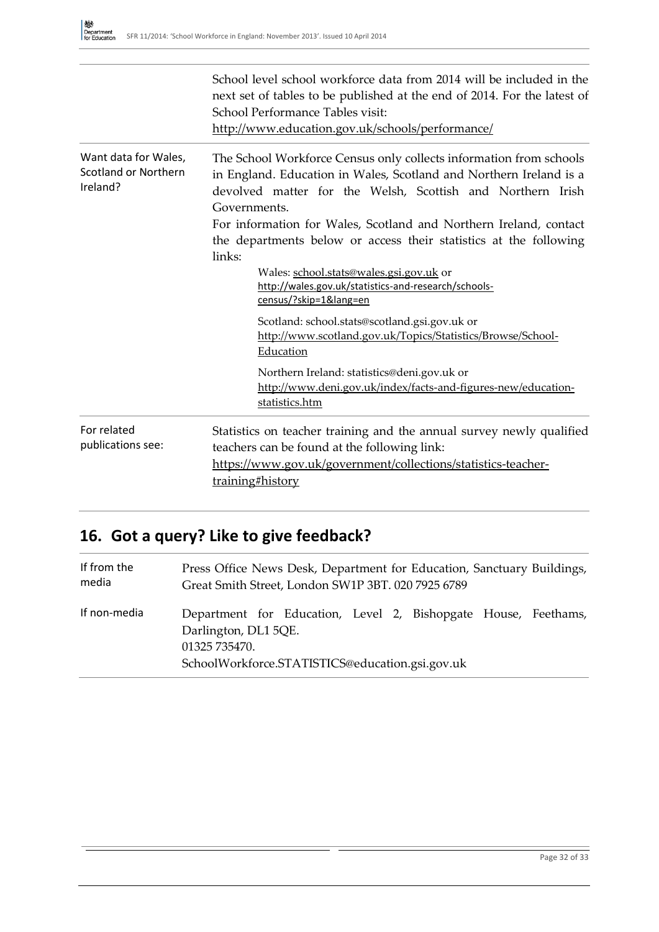|                                                                 | School level school workforce data from 2014 will be included in the<br>next set of tables to be published at the end of 2014. For the latest of<br>School Performance Tables visit:<br>http://www.education.gov.uk/schools/performance/                                                                                                                                                                                                                                                                                                                                                                                                                                                                                                                           |
|-----------------------------------------------------------------|--------------------------------------------------------------------------------------------------------------------------------------------------------------------------------------------------------------------------------------------------------------------------------------------------------------------------------------------------------------------------------------------------------------------------------------------------------------------------------------------------------------------------------------------------------------------------------------------------------------------------------------------------------------------------------------------------------------------------------------------------------------------|
| Want data for Wales,<br><b>Scotland or Northern</b><br>Ireland? | The School Workforce Census only collects information from schools<br>in England. Education in Wales, Scotland and Northern Ireland is a<br>devolved matter for the Welsh, Scottish and Northern Irish<br>Governments.<br>For information for Wales, Scotland and Northern Ireland, contact<br>the departments below or access their statistics at the following<br>links:<br>Wales: school.stats@wales.gsi.gov.uk or<br>http://wales.gov.uk/statistics-and-research/schools-<br>census/?skip=1⟨=en<br>Scotland: school.stats@scotland.gsi.gov.uk or<br>http://www.scotland.gov.uk/Topics/Statistics/Browse/School-<br>Education<br>Northern Ireland: statistics@deni.gov.uk or<br>http://www.deni.gov.uk/index/facts-and-figures-new/education-<br>statistics.htm |
| For related<br>publications see:                                | Statistics on teacher training and the annual survey newly qualified<br>teachers can be found at the following link:<br>https://www.gov.uk/government/collections/statistics-teacher-<br>training#history                                                                                                                                                                                                                                                                                                                                                                                                                                                                                                                                                          |

# **16. Got a query? Like to give feedback?**

| If from the  | Press Office News Desk, Department for Education, Sanctuary Buildings,                                                                                     |
|--------------|------------------------------------------------------------------------------------------------------------------------------------------------------------|
| media        | Great Smith Street, London SW1P 3BT. 020 7925 6789                                                                                                         |
| If non-media | Department for Education, Level 2, Bishopgate House, Feethams,<br>Darlington, DL1 5QE.<br>01325 735470.<br>SchoolWorkforce.STATISTICS@education.gsi.gov.uk |